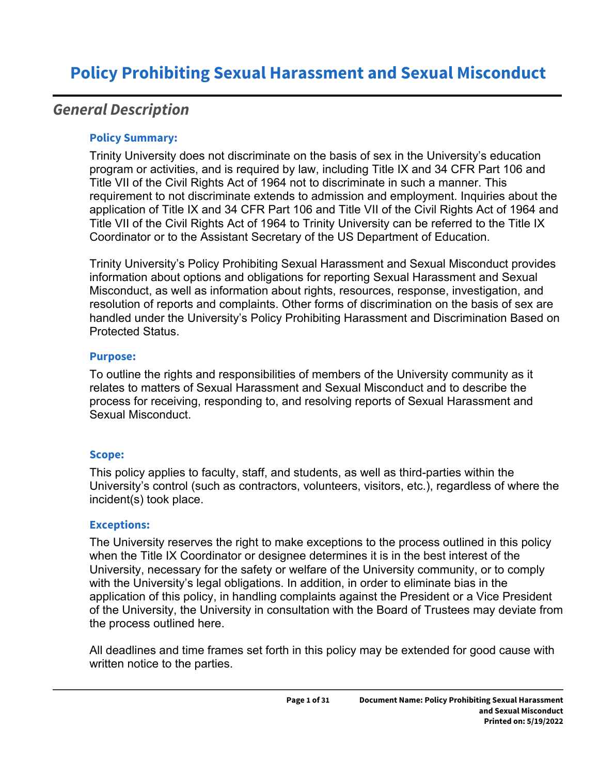## *General Description*

#### **Policy Summary:**

Trinity University does not discriminate on the basis of sex in the University's education program or activities, and is required by law, including Title IX and 34 CFR Part 106 and Title VII of the Civil Rights Act of 1964 not to discriminate in such a manner. This requirement to not discriminate extends to admission and employment. Inquiries about the application of Title IX and 34 CFR Part 106 and Title VII of the Civil Rights Act of 1964 and Title VII of the Civil Rights Act of 1964 to Trinity University can be referred to the Title IX Coordinator or to the Assistant Secretary of the US Department of Education.

Trinity University's Policy Prohibiting Sexual Harassment and Sexual Misconduct provides information about options and obligations for reporting Sexual Harassment and Sexual Misconduct, as well as information about rights, resources, response, investigation, and resolution of reports and complaints. Other forms of discrimination on the basis of sex are handled under the University's Policy Prohibiting Harassment and Discrimination Based on Protected Status.

#### **Purpose:**

To outline the rights and responsibilities of members of the University community as it relates to matters of Sexual Harassment and Sexual Misconduct and to describe the process for receiving, responding to, and resolving reports of Sexual Harassment and Sexual Misconduct.

#### **Scope:**

This policy applies to faculty, staff, and students, as well as third-parties within the University's control (such as contractors, volunteers, visitors, etc.), regardless of where the incident(s) took place.

#### **Exceptions:**

The University reserves the right to make exceptions to the process outlined in this policy when the Title IX Coordinator or designee determines it is in the best interest of the University, necessary for the safety or welfare of the University community, or to comply with the University's legal obligations. In addition, in order to eliminate bias in the application of this policy, in handling complaints against the President or a Vice President of the University, the University in consultation with the Board of Trustees may deviate from the process outlined here.

All deadlines and time frames set forth in this policy may be extended for good cause with written notice to the parties.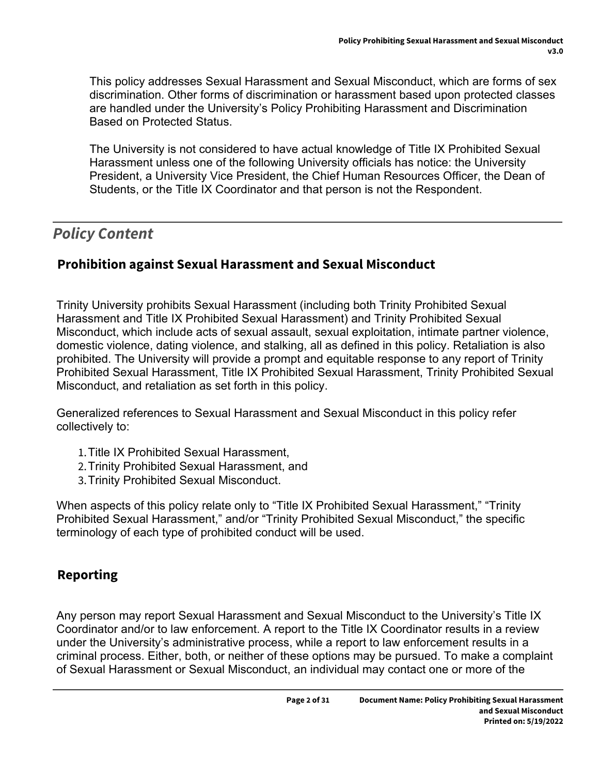This policy addresses Sexual Harassment and Sexual Misconduct, which are forms of sex discrimination. Other forms of discrimination or harassment based upon protected classes are handled under the University's Policy Prohibiting Harassment and Discrimination Based on Protected Status.

The University is not considered to have actual knowledge of Title IX Prohibited Sexual Harassment unless one of the following University officials has notice: the University President, a University Vice President, the Chief Human Resources Officer, the Dean of Students, or the Title IX Coordinator and that person is not the Respondent.

# *Policy Content*

## **Prohibition against Sexual Harassment and Sexual Misconduct**

Trinity University prohibits Sexual Harassment (including both Trinity Prohibited Sexual Harassment and Title IX Prohibited Sexual Harassment) and Trinity Prohibited Sexual Misconduct, which include acts of sexual assault, sexual exploitation, intimate partner violence, domestic violence, dating violence, and stalking, all as defined in this policy. Retaliation is also prohibited. The University will provide a prompt and equitable response to any report of Trinity Prohibited Sexual Harassment, Title IX Prohibited Sexual Harassment, Trinity Prohibited Sexual Misconduct, and retaliation as set forth in this policy.

Generalized references to Sexual Harassment and Sexual Misconduct in this policy refer collectively to:

- 1.Title IX Prohibited Sexual Harassment,
- 2.Trinity Prohibited Sexual Harassment, and
- 3.Trinity Prohibited Sexual Misconduct.

When aspects of this policy relate only to "Title IX Prohibited Sexual Harassment," "Trinity Prohibited Sexual Harassment," and/or "Trinity Prohibited Sexual Misconduct," the specific terminology of each type of prohibited conduct will be used.

## **Reporting**

Any person may report Sexual Harassment and Sexual Misconduct to the University's Title IX Coordinator and/or to law enforcement. A report to the Title IX Coordinator results in a review under the University's administrative process, while a report to law enforcement results in a criminal process. Either, both, or neither of these options may be pursued. To make a complaint of Sexual Harassment or Sexual Misconduct, an individual may contact one or more of the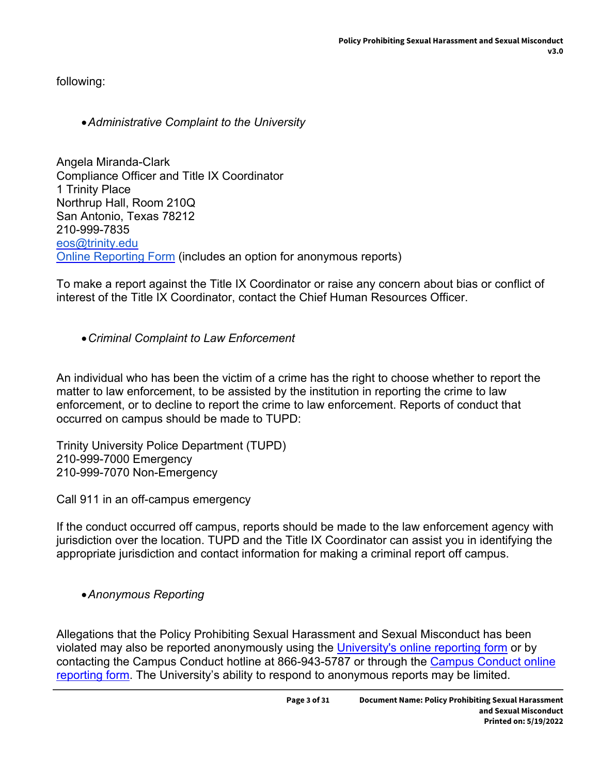following:

### *Administrative Complaint to the University*

Angela Miranda-Clark Compliance Officer and Title IX Coordinator 1 Trinity Place Northrup Hall, Room 210Q San Antonio, Texas 78212 210-999-7835 [eos@trinity.edu](mailto:eos@trinity.edu) [Online Reporting Form](https://cm.maxient.com/reportingform.php?TrinityUniv&layout_id=5) (includes an option for anonymous reports)

To make a report against the Title IX Coordinator or raise any concern about bias or conflict of interest of the Title IX Coordinator, contact the Chief Human Resources Officer.

### *Criminal Complaint to Law Enforcement*

An individual who has been the victim of a crime has the right to choose whether to report the matter to law enforcement, to be assisted by the institution in reporting the crime to law enforcement, or to decline to report the crime to law enforcement. Reports of conduct that occurred on campus should be made to TUPD:

Trinity University Police Department (TUPD) 210-999-7000 Emergency 210-999-7070 Non-Emergency

Call 911 in an off-campus emergency

If the conduct occurred off campus, reports should be made to the law enforcement agency with jurisdiction over the location. TUPD and the Title IX Coordinator can assist you in identifying the appropriate jurisdiction and contact information for making a criminal report off campus.

*Anonymous Reporting*

Allegations that the Policy Prohibiting Sexual Harassment and Sexual Misconduct has been violated may also be reported anonymously using the [University's online reporting form](https://cm.maxient.com/reportingform.php?TrinityUniv&layout_id=5) or by contacting the Campus Conduct hotline at 866-943-5787 or through the [Campus Conduct online](https://www.intouchwebsite.com/index.asp?Lid=1&Cid=69969)  [reporting form](https://www.intouchwebsite.com/index.asp?Lid=1&Cid=69969). The University's ability to respond to anonymous reports may be limited.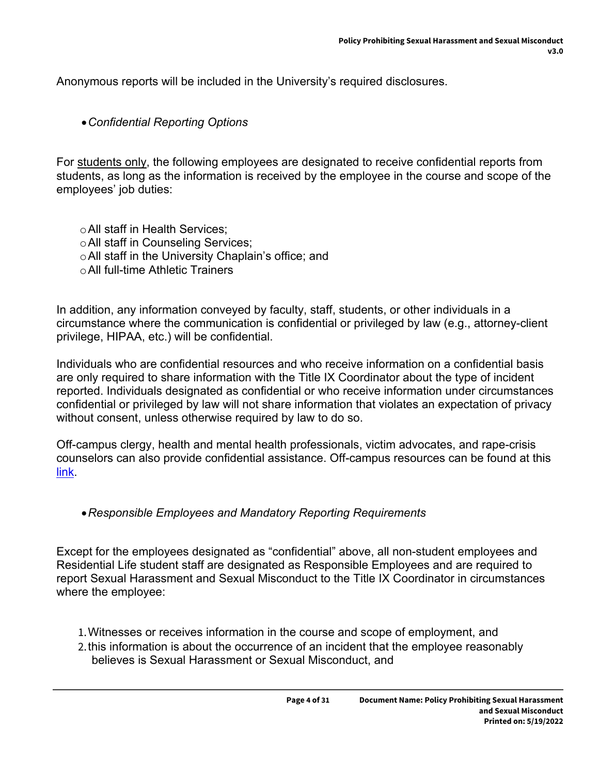Anonymous reports will be included in the University's required disclosures.

#### *Confidential Reporting Options*

For students only, the following employees are designated to receive confidential reports from students, as long as the information is received by the employee in the course and scope of the employees' job duties:

oAll staff in Health Services; oAll staff in Counseling Services; oAll staff in the University Chaplain's office; and oAll full-time Athletic Trainers

In addition, any information conveyed by faculty, staff, students, or other individuals in a circumstance where the communication is confidential or privileged by law (e.g., attorney-client privilege, HIPAA, etc.) will be confidential.

Individuals who are confidential resources and who receive information on a confidential basis are only required to share information with the Title IX Coordinator about the type of incident reported. Individuals designated as confidential or who receive information under circumstances confidential or privileged by law will not share information that violates an expectation of privacy without consent, unless otherwise required by law to do so.

Off-campus clergy, health and mental health professionals, victim advocates, and rape-crisis counselors can also provide confidential assistance. Off-campus resources can be found at this [link.](https://www.trinity.edu/directory/departments-offices/equal-opportunity-services/resources)

#### *Responsible Employees and Mandatory Reporting Requirements*

Except for the employees designated as "confidential" above, all non-student employees and Residential Life student staff are designated as Responsible Employees and are required to report Sexual Harassment and Sexual Misconduct to the Title IX Coordinator in circumstances where the employee:

- 1.Witnesses or receives information in the course and scope of employment, and
- 2.this information is about the occurrence of an incident that the employee reasonably believes is Sexual Harassment or Sexual Misconduct, and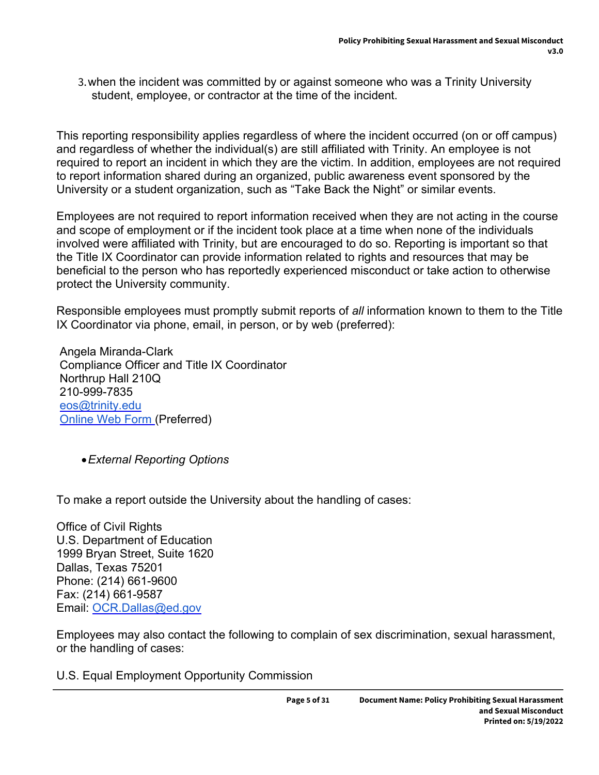3.when the incident was committed by or against someone who was a Trinity University student, employee, or contractor at the time of the incident.

This reporting responsibility applies regardless of where the incident occurred (on or off campus) and regardless of whether the individual(s) are still affiliated with Trinity. An employee is not required to report an incident in which they are the victim. In addition, employees are not required to report information shared during an organized, public awareness event sponsored by the University or a student organization, such as "Take Back the Night" or similar events.

Employees are not required to report information received when they are not acting in the course and scope of employment or if the incident took place at a time when none of the individuals involved were affiliated with Trinity, but are encouraged to do so. Reporting is important so that the Title IX Coordinator can provide information related to rights and resources that may be beneficial to the person who has reportedly experienced misconduct or take action to otherwise protect the University community.

Responsible employees must promptly submit reports of *all* information known to them to the Title IX Coordinator via phone, email, in person, or by web (preferred):

 Angela Miranda-Clark Compliance Officer and Title IX Coordinator Northrup Hall 210Q 210-999-7835 [eos@trinity.edu](mailto:eos@trinity.edu) [Online Web Form](https://cm.maxient.com/reportingform.php?TrinityUniv&layout_id=5) (Preferred)

*External Reporting Options*

To make a report outside the University about the handling of cases:

Office of Civil Rights U.S. Department of Education 1999 Bryan Street, Suite 1620 Dallas, Texas 75201 Phone: (214) 661-9600 Fax: (214) 661-9587 Email: [OCR.Dallas@ed.gov](mailto:OCR.Dallas@ed.gov)

Employees may also contact the following to complain of sex discrimination, sexual harassment, or the handling of cases:

U.S. Equal Employment Opportunity Commission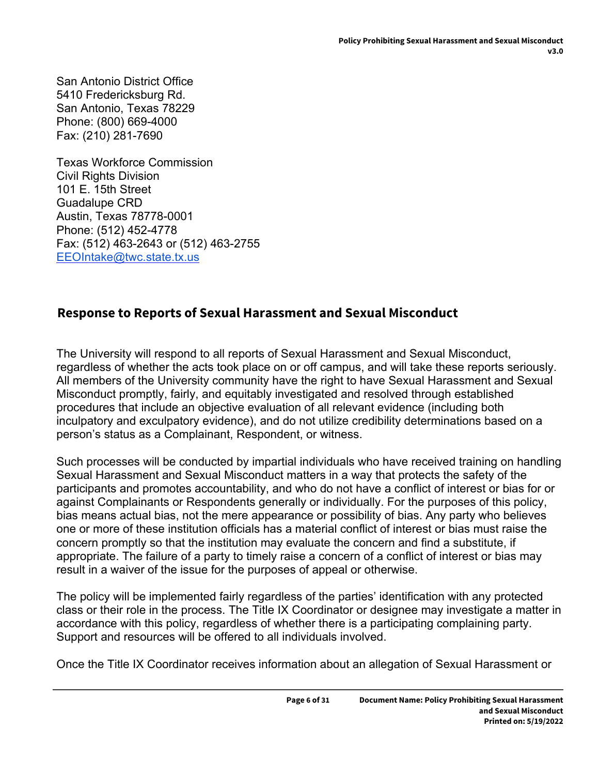San Antonio District Office 5410 Fredericksburg Rd. San Antonio, Texas 78229 Phone: (800) 669-4000 Fax: (210) 281-7690

Texas Workforce Commission Civil Rights Division 101 E. 15th Street Guadalupe CRD Austin, Texas 78778-0001 Phone: (512) 452-4778 Fax: (512) 463-2643 or (512) 463-2755 [EEOIntake@twc.state.tx.us](mailto:EEOIntake@twc.state.tx.us)

## **Response to Reports of Sexual Harassment and Sexual Misconduct**

The University will respond to all reports of Sexual Harassment and Sexual Misconduct, regardless of whether the acts took place on or off campus, and will take these reports seriously. All members of the University community have the right to have Sexual Harassment and Sexual Misconduct promptly, fairly, and equitably investigated and resolved through established procedures that include an objective evaluation of all relevant evidence (including both inculpatory and exculpatory evidence), and do not utilize credibility determinations based on a person's status as a Complainant, Respondent, or witness.

Such processes will be conducted by impartial individuals who have received training on handling Sexual Harassment and Sexual Misconduct matters in a way that protects the safety of the participants and promotes accountability, and who do not have a conflict of interest or bias for or against Complainants or Respondents generally or individually. For the purposes of this policy, bias means actual bias, not the mere appearance or possibility of bias. Any party who believes one or more of these institution officials has a material conflict of interest or bias must raise the concern promptly so that the institution may evaluate the concern and find a substitute, if appropriate. The failure of a party to timely raise a concern of a conflict of interest or bias may result in a waiver of the issue for the purposes of appeal or otherwise.

The policy will be implemented fairly regardless of the parties' identification with any protected class or their role in the process. The Title IX Coordinator or designee may investigate a matter in accordance with this policy, regardless of whether there is a participating complaining party. Support and resources will be offered to all individuals involved.

Once the Title IX Coordinator receives information about an allegation of Sexual Harassment or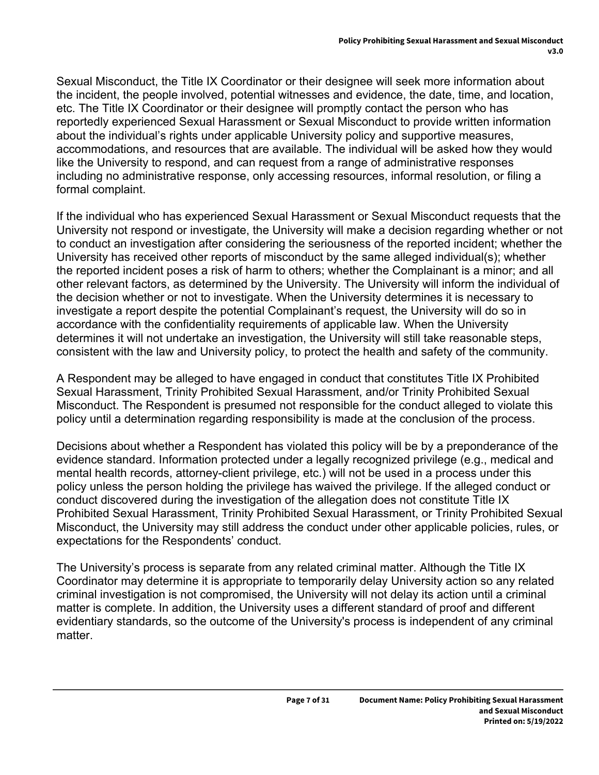Sexual Misconduct, the Title IX Coordinator or their designee will seek more information about the incident, the people involved, potential witnesses and evidence, the date, time, and location, etc. The Title IX Coordinator or their designee will promptly contact the person who has reportedly experienced Sexual Harassment or Sexual Misconduct to provide written information about the individual's rights under applicable University policy and supportive measures, accommodations, and resources that are available. The individual will be asked how they would like the University to respond, and can request from a range of administrative responses including no administrative response, only accessing resources, informal resolution, or filing a formal complaint.

If the individual who has experienced Sexual Harassment or Sexual Misconduct requests that the University not respond or investigate, the University will make a decision regarding whether or not to conduct an investigation after considering the seriousness of the reported incident; whether the University has received other reports of misconduct by the same alleged individual(s); whether the reported incident poses a risk of harm to others; whether the Complainant is a minor; and all other relevant factors, as determined by the University. The University will inform the individual of the decision whether or not to investigate. When the University determines it is necessary to investigate a report despite the potential Complainant's request, the University will do so in accordance with the confidentiality requirements of applicable law. When the University determines it will not undertake an investigation, the University will still take reasonable steps, consistent with the law and University policy, to protect the health and safety of the community.

A Respondent may be alleged to have engaged in conduct that constitutes Title IX Prohibited Sexual Harassment, Trinity Prohibited Sexual Harassment, and/or Trinity Prohibited Sexual Misconduct. The Respondent is presumed not responsible for the conduct alleged to violate this policy until a determination regarding responsibility is made at the conclusion of the process.

Decisions about whether a Respondent has violated this policy will be by a preponderance of the evidence standard. Information protected under a legally recognized privilege (e.g., medical and mental health records, attorney-client privilege, etc.) will not be used in a process under this policy unless the person holding the privilege has waived the privilege. If the alleged conduct or conduct discovered during the investigation of the allegation does not constitute Title IX Prohibited Sexual Harassment, Trinity Prohibited Sexual Harassment, or Trinity Prohibited Sexual Misconduct, the University may still address the conduct under other applicable policies, rules, or expectations for the Respondents' conduct.

The University's process is separate from any related criminal matter. Although the Title IX Coordinator may determine it is appropriate to temporarily delay University action so any related criminal investigation is not compromised, the University will not delay its action until a criminal matter is complete. In addition, the University uses a different standard of proof and different evidentiary standards, so the outcome of the University's process is independent of any criminal matter.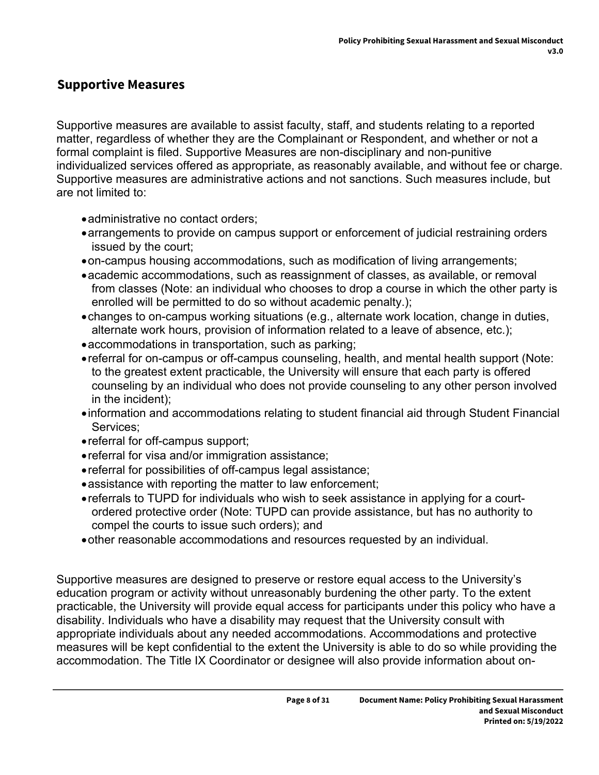### **Supportive Measures**

Supportive measures are available to assist faculty, staff, and students relating to a reported matter, regardless of whether they are the Complainant or Respondent, and whether or not a formal complaint is filed. Supportive Measures are non-disciplinary and non-punitive individualized services offered as appropriate, as reasonably available, and without fee or charge. Supportive measures are administrative actions and not sanctions. Such measures include, but are not limited to:

- administrative no contact orders;
- arrangements to provide on campus support or enforcement of judicial restraining orders issued by the court;
- on-campus housing accommodations, such as modification of living arrangements;
- academic accommodations, such as reassignment of classes, as available, or removal from classes (Note: an individual who chooses to drop a course in which the other party is enrolled will be permitted to do so without academic penalty.);
- changes to on-campus working situations (e.g., alternate work location, change in duties, alternate work hours, provision of information related to a leave of absence, etc.);
- accommodations in transportation, such as parking;
- referral for on-campus or off-campus counseling, health, and mental health support (Note: to the greatest extent practicable, the University will ensure that each party is offered counseling by an individual who does not provide counseling to any other person involved in the incident);
- information and accommodations relating to student financial aid through Student Financial Services;
- referral for off-campus support;
- referral for visa and/or immigration assistance;
- referral for possibilities of off-campus legal assistance;
- assistance with reporting the matter to law enforcement;
- referrals to TUPD for individuals who wish to seek assistance in applying for a courtordered protective order (Note: TUPD can provide assistance, but has no authority to compel the courts to issue such orders); and
- other reasonable accommodations and resources requested by an individual.

Supportive measures are designed to preserve or restore equal access to the University's education program or activity without unreasonably burdening the other party. To the extent practicable, the University will provide equal access for participants under this policy who have a disability. Individuals who have a disability may request that the University consult with appropriate individuals about any needed accommodations. Accommodations and protective measures will be kept confidential to the extent the University is able to do so while providing the accommodation. The Title IX Coordinator or designee will also provide information about on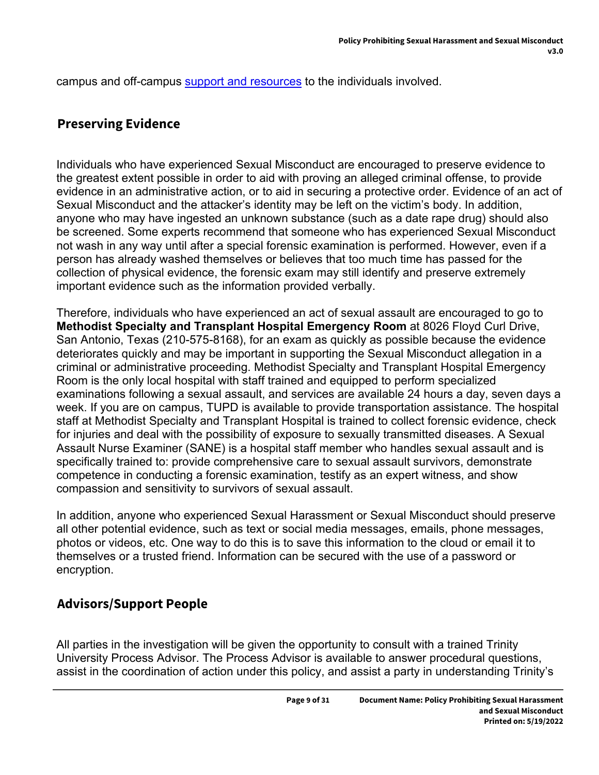campus and off-campus [support and resources](https://www.trinity.edu/directory/departments-offices/equal-opportunity-services/resources) to the individuals involved.

### **Preserving Evidence**

Individuals who have experienced Sexual Misconduct are encouraged to preserve evidence to the greatest extent possible in order to aid with proving an alleged criminal offense, to provide evidence in an administrative action, or to aid in securing a protective order. Evidence of an act of Sexual Misconduct and the attacker's identity may be left on the victim's body. In addition, anyone who may have ingested an unknown substance (such as a date rape drug) should also be screened. Some experts recommend that someone who has experienced Sexual Misconduct not wash in any way until after a special forensic examination is performed. However, even if a person has already washed themselves or believes that too much time has passed for the collection of physical evidence, the forensic exam may still identify and preserve extremely important evidence such as the information provided verbally.

Therefore, individuals who have experienced an act of sexual assault are encouraged to go to **Methodist Specialty and Transplant Hospital Emergency Room** at 8026 Floyd Curl Drive, San Antonio, Texas (210-575-8168), for an exam as quickly as possible because the evidence deteriorates quickly and may be important in supporting the Sexual Misconduct allegation in a criminal or administrative proceeding. Methodist Specialty and Transplant Hospital Emergency Room is the only local hospital with staff trained and equipped to perform specialized examinations following a sexual assault, and services are available 24 hours a day, seven days a week. If you are on campus, TUPD is available to provide transportation assistance. The hospital staff at Methodist Specialty and Transplant Hospital is trained to collect forensic evidence, check for injuries and deal with the possibility of exposure to sexually transmitted diseases. A Sexual Assault Nurse Examiner (SANE) is a hospital staff member who handles sexual assault and is specifically trained to: provide comprehensive care to sexual assault survivors, demonstrate competence in conducting a forensic examination, testify as an expert witness, and show compassion and sensitivity to survivors of sexual assault.

In addition, anyone who experienced Sexual Harassment or Sexual Misconduct should preserve all other potential evidence, such as text or social media messages, emails, phone messages, photos or videos, etc. One way to do this is to save this information to the cloud or email it to themselves or a trusted friend. Information can be secured with the use of a password or encryption.

### **Advisors/Support People**

All parties in the investigation will be given the opportunity to consult with a trained Trinity University Process Advisor. The Process Advisor is available to answer procedural questions, assist in the coordination of action under this policy, and assist a party in understanding Trinity's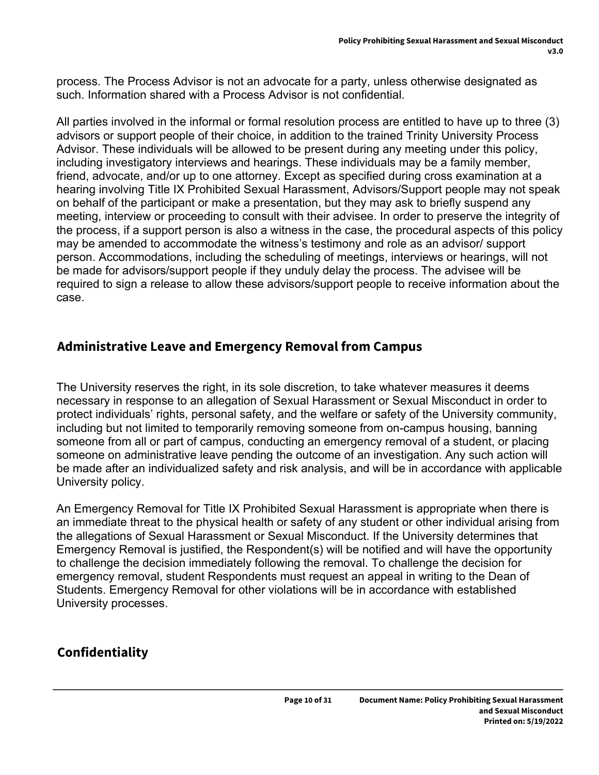process. The Process Advisor is not an advocate for a party, unless otherwise designated as such. Information shared with a Process Advisor is not confidential.

All parties involved in the informal or formal resolution process are entitled to have up to three (3) advisors or support people of their choice, in addition to the trained Trinity University Process Advisor. These individuals will be allowed to be present during any meeting under this policy, including investigatory interviews and hearings. These individuals may be a family member, friend, advocate, and/or up to one attorney. Except as specified during cross examination at a hearing involving Title IX Prohibited Sexual Harassment, Advisors/Support people may not speak on behalf of the participant or make a presentation, but they may ask to briefly suspend any meeting, interview or proceeding to consult with their advisee. In order to preserve the integrity of the process, if a support person is also a witness in the case, the procedural aspects of this policy may be amended to accommodate the witness's testimony and role as an advisor/ support person. Accommodations, including the scheduling of meetings, interviews or hearings, will not be made for advisors/support people if they unduly delay the process. The advisee will be required to sign a release to allow these advisors/support people to receive information about the case.

### **Administrative Leave and Emergency Removal from Campus**

The University reserves the right, in its sole discretion, to take whatever measures it deems necessary in response to an allegation of Sexual Harassment or Sexual Misconduct in order to protect individuals' rights, personal safety, and the welfare or safety of the University community, including but not limited to temporarily removing someone from on-campus housing, banning someone from all or part of campus, conducting an emergency removal of a student, or placing someone on administrative leave pending the outcome of an investigation. Any such action will be made after an individualized safety and risk analysis, and will be in accordance with applicable University policy.

An Emergency Removal for Title IX Prohibited Sexual Harassment is appropriate when there is an immediate threat to the physical health or safety of any student or other individual arising from the allegations of Sexual Harassment or Sexual Misconduct. If the University determines that Emergency Removal is justified, the Respondent(s) will be notified and will have the opportunity to challenge the decision immediately following the removal. To challenge the decision for emergency removal, student Respondents must request an appeal in writing to the Dean of Students. Emergency Removal for other violations will be in accordance with established University processes.

## **Confidentiality**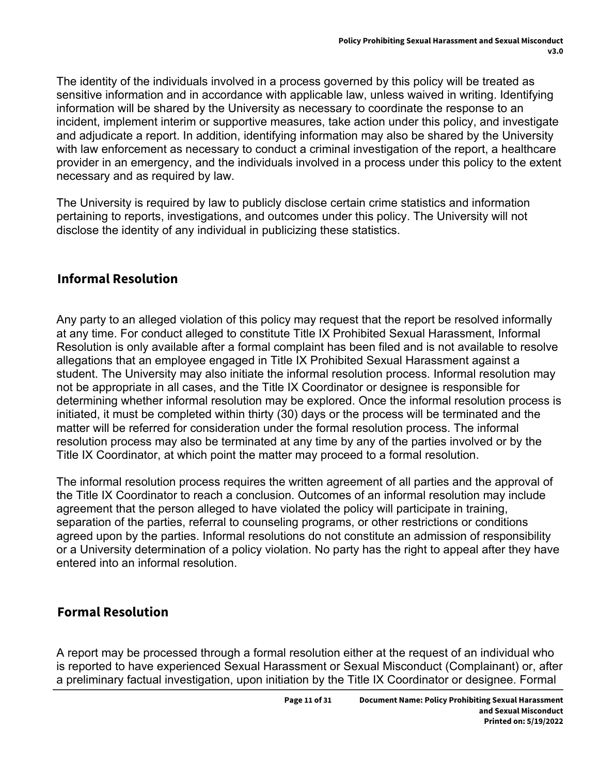The identity of the individuals involved in a process governed by this policy will be treated as sensitive information and in accordance with applicable law, unless waived in writing. Identifying information will be shared by the University as necessary to coordinate the response to an incident, implement interim or supportive measures, take action under this policy, and investigate and adjudicate a report. In addition, identifying information may also be shared by the University with law enforcement as necessary to conduct a criminal investigation of the report, a healthcare provider in an emergency, and the individuals involved in a process under this policy to the extent necessary and as required by law.

The University is required by law to publicly disclose certain crime statistics and information pertaining to reports, investigations, and outcomes under this policy. The University will not disclose the identity of any individual in publicizing these statistics.

## **Informal Resolution**

Any party to an alleged violation of this policy may request that the report be resolved informally at any time. For conduct alleged to constitute Title IX Prohibited Sexual Harassment, Informal Resolution is only available after a formal complaint has been filed and is not available to resolve allegations that an employee engaged in Title IX Prohibited Sexual Harassment against a student. The University may also initiate the informal resolution process. Informal resolution may not be appropriate in all cases, and the Title IX Coordinator or designee is responsible for determining whether informal resolution may be explored. Once the informal resolution process is initiated, it must be completed within thirty (30) days or the process will be terminated and the matter will be referred for consideration under the formal resolution process. The informal resolution process may also be terminated at any time by any of the parties involved or by the Title IX Coordinator, at which point the matter may proceed to a formal resolution.

The informal resolution process requires the written agreement of all parties and the approval of the Title IX Coordinator to reach a conclusion. Outcomes of an informal resolution may include agreement that the person alleged to have violated the policy will participate in training, separation of the parties, referral to counseling programs, or other restrictions or conditions agreed upon by the parties. Informal resolutions do not constitute an admission of responsibility or a University determination of a policy violation. No party has the right to appeal after they have entered into an informal resolution.

## **Formal Resolution**

A report may be processed through a formal resolution either at the request of an individual who is reported to have experienced Sexual Harassment or Sexual Misconduct (Complainant) or, after a preliminary factual investigation, upon initiation by the Title IX Coordinator or designee. Formal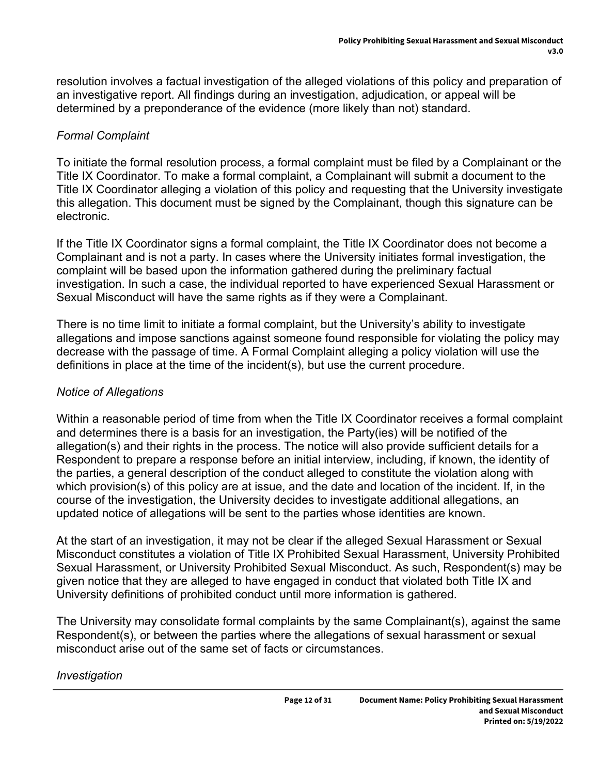resolution involves a factual investigation of the alleged violations of this policy and preparation of an investigative report. All findings during an investigation, adjudication, or appeal will be determined by a preponderance of the evidence (more likely than not) standard.

### *Formal Complaint*

To initiate the formal resolution process, a formal complaint must be filed by a Complainant or the Title IX Coordinator. To make a formal complaint, a Complainant will submit a document to the Title IX Coordinator alleging a violation of this policy and requesting that the University investigate this allegation. This document must be signed by the Complainant, though this signature can be electronic.

If the Title IX Coordinator signs a formal complaint, the Title IX Coordinator does not become a Complainant and is not a party. In cases where the University initiates formal investigation, the complaint will be based upon the information gathered during the preliminary factual investigation. In such a case, the individual reported to have experienced Sexual Harassment or Sexual Misconduct will have the same rights as if they were a Complainant.

There is no time limit to initiate a formal complaint, but the University's ability to investigate allegations and impose sanctions against someone found responsible for violating the policy may decrease with the passage of time. A Formal Complaint alleging a policy violation will use the definitions in place at the time of the incident(s), but use the current procedure.

### *Notice of Allegations*

Within a reasonable period of time from when the Title IX Coordinator receives a formal complaint and determines there is a basis for an investigation, the Party(ies) will be notified of the allegation(s) and their rights in the process. The notice will also provide sufficient details for a Respondent to prepare a response before an initial interview, including, if known, the identity of the parties, a general description of the conduct alleged to constitute the violation along with which provision(s) of this policy are at issue, and the date and location of the incident. If, in the course of the investigation, the University decides to investigate additional allegations, an updated notice of allegations will be sent to the parties whose identities are known.

At the start of an investigation, it may not be clear if the alleged Sexual Harassment or Sexual Misconduct constitutes a violation of Title IX Prohibited Sexual Harassment, University Prohibited Sexual Harassment, or University Prohibited Sexual Misconduct. As such, Respondent(s) may be given notice that they are alleged to have engaged in conduct that violated both Title IX and University definitions of prohibited conduct until more information is gathered.

The University may consolidate formal complaints by the same Complainant(s), against the same Respondent(s), or between the parties where the allegations of sexual harassment or sexual misconduct arise out of the same set of facts or circumstances.

#### *Investigation*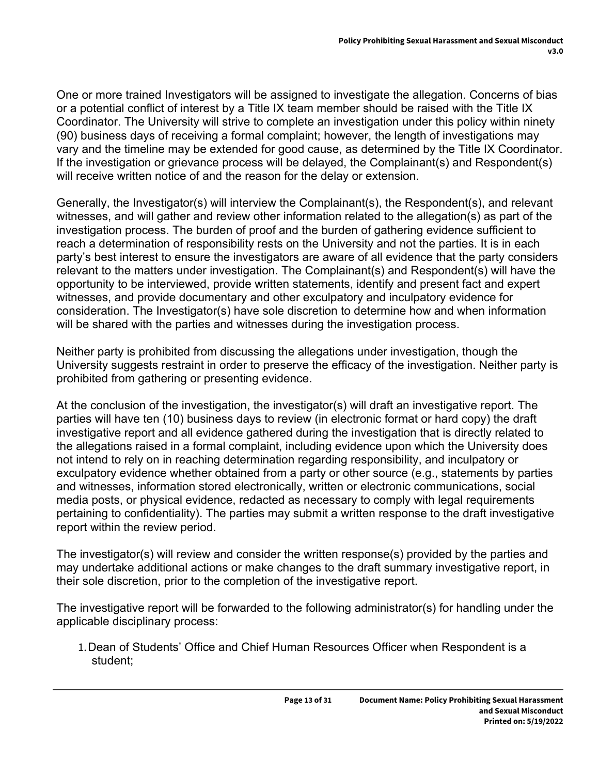One or more trained Investigators will be assigned to investigate the allegation. Concerns of bias or a potential conflict of interest by a Title IX team member should be raised with the Title IX Coordinator. The University will strive to complete an investigation under this policy within ninety (90) business days of receiving a formal complaint; however, the length of investigations may vary and the timeline may be extended for good cause, as determined by the Title IX Coordinator. If the investigation or grievance process will be delayed, the Complainant(s) and Respondent(s) will receive written notice of and the reason for the delay or extension.

Generally, the Investigator(s) will interview the Complainant(s), the Respondent(s), and relevant witnesses, and will gather and review other information related to the allegation(s) as part of the investigation process. The burden of proof and the burden of gathering evidence sufficient to reach a determination of responsibility rests on the University and not the parties. It is in each party's best interest to ensure the investigators are aware of all evidence that the party considers relevant to the matters under investigation. The Complainant(s) and Respondent(s) will have the opportunity to be interviewed, provide written statements, identify and present fact and expert witnesses, and provide documentary and other exculpatory and inculpatory evidence for consideration. The Investigator(s) have sole discretion to determine how and when information will be shared with the parties and witnesses during the investigation process.

Neither party is prohibited from discussing the allegations under investigation, though the University suggests restraint in order to preserve the efficacy of the investigation. Neither party is prohibited from gathering or presenting evidence.

At the conclusion of the investigation, the investigator(s) will draft an investigative report. The parties will have ten (10) business days to review (in electronic format or hard copy) the draft investigative report and all evidence gathered during the investigation that is directly related to the allegations raised in a formal complaint, including evidence upon which the University does not intend to rely on in reaching determination regarding responsibility, and inculpatory or exculpatory evidence whether obtained from a party or other source (e.g., statements by parties and witnesses, information stored electronically, written or electronic communications, social media posts, or physical evidence, redacted as necessary to comply with legal requirements pertaining to confidentiality). The parties may submit a written response to the draft investigative report within the review period.

The investigator(s) will review and consider the written response(s) provided by the parties and may undertake additional actions or make changes to the draft summary investigative report, in their sole discretion, prior to the completion of the investigative report.

The investigative report will be forwarded to the following administrator(s) for handling under the applicable disciplinary process:

1.Dean of Students' Office and Chief Human Resources Officer when Respondent is a student;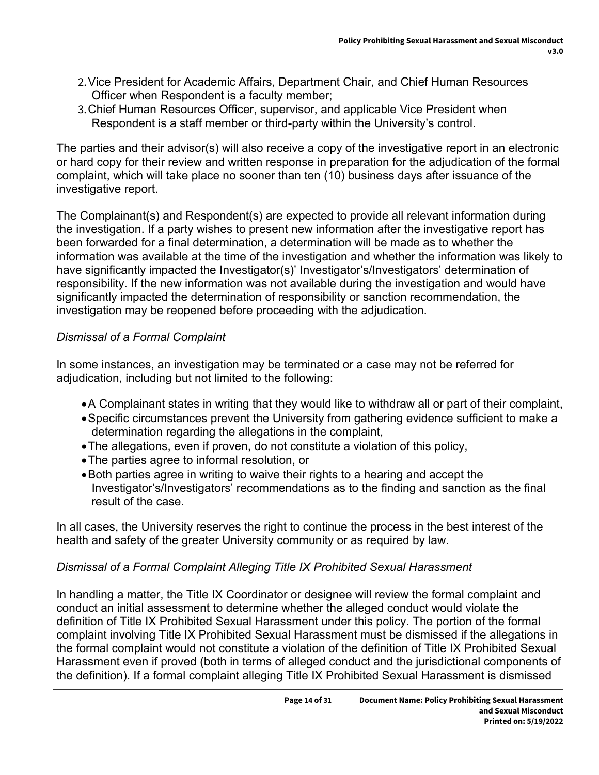- 2.Vice President for Academic Affairs, Department Chair, and Chief Human Resources Officer when Respondent is a faculty member;
- 3.Chief Human Resources Officer, supervisor, and applicable Vice President when Respondent is a staff member or third-party within the University's control.

The parties and their advisor(s) will also receive a copy of the investigative report in an electronic or hard copy for their review and written response in preparation for the adjudication of the formal complaint, which will take place no sooner than ten (10) business days after issuance of the investigative report.

The Complainant(s) and Respondent(s) are expected to provide all relevant information during the investigation. If a party wishes to present new information after the investigative report has been forwarded for a final determination, a determination will be made as to whether the information was available at the time of the investigation and whether the information was likely to have significantly impacted the Investigator(s)' Investigator's/Investigators' determination of responsibility. If the new information was not available during the investigation and would have significantly impacted the determination of responsibility or sanction recommendation, the investigation may be reopened before proceeding with the adjudication.

### *Dismissal of a Formal Complaint*

In some instances, an investigation may be terminated or a case may not be referred for adjudication, including but not limited to the following:

- A Complainant states in writing that they would like to withdraw all or part of their complaint,
- Specific circumstances prevent the University from gathering evidence sufficient to make a determination regarding the allegations in the complaint,
- The allegations, even if proven, do not constitute a violation of this policy,
- The parties agree to informal resolution, or
- Both parties agree in writing to waive their rights to a hearing and accept the Investigator's/Investigators' recommendations as to the finding and sanction as the final result of the case.

In all cases, the University reserves the right to continue the process in the best interest of the health and safety of the greater University community or as required by law.

### *Dismissal of a Formal Complaint Alleging Title IX Prohibited Sexual Harassment*

In handling a matter, the Title IX Coordinator or designee will review the formal complaint and conduct an initial assessment to determine whether the alleged conduct would violate the definition of Title IX Prohibited Sexual Harassment under this policy. The portion of the formal complaint involving Title IX Prohibited Sexual Harassment must be dismissed if the allegations in the formal complaint would not constitute a violation of the definition of Title IX Prohibited Sexual Harassment even if proved (both in terms of alleged conduct and the jurisdictional components of the definition). If a formal complaint alleging Title IX Prohibited Sexual Harassment is dismissed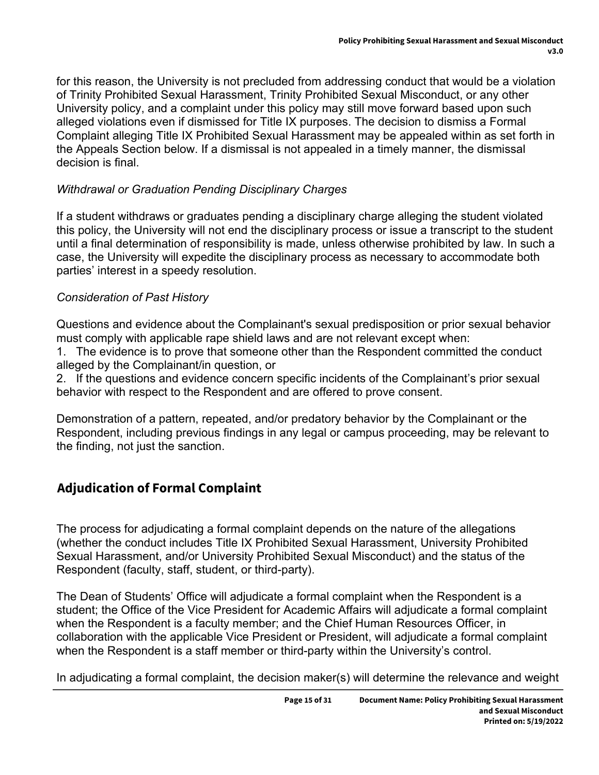for this reason, the University is not precluded from addressing conduct that would be a violation of Trinity Prohibited Sexual Harassment, Trinity Prohibited Sexual Misconduct, or any other University policy, and a complaint under this policy may still move forward based upon such alleged violations even if dismissed for Title IX purposes. The decision to dismiss a Formal Complaint alleging Title IX Prohibited Sexual Harassment may be appealed within as set forth in the Appeals Section below. If a dismissal is not appealed in a timely manner, the dismissal decision is final.

### *Withdrawal or Graduation Pending Disciplinary Charges*

If a student withdraws or graduates pending a disciplinary charge alleging the student violated this policy, the University will not end the disciplinary process or issue a transcript to the student until a final determination of responsibility is made, unless otherwise prohibited by law. In such a case, the University will expedite the disciplinary process as necessary to accommodate both parties' interest in a speedy resolution.

#### *Consideration of Past History*

Questions and evidence about the Complainant's sexual predisposition or prior sexual behavior must comply with applicable rape shield laws and are not relevant except when:

1. The evidence is to prove that someone other than the Respondent committed the conduct alleged by the Complainant/in question, or

2. If the questions and evidence concern specific incidents of the Complainant's prior sexual behavior with respect to the Respondent and are offered to prove consent.

Demonstration of a pattern, repeated, and/or predatory behavior by the Complainant or the Respondent, including previous findings in any legal or campus proceeding, may be relevant to the finding, not just the sanction.

## **Adjudication of Formal Complaint**

The process for adjudicating a formal complaint depends on the nature of the allegations (whether the conduct includes Title IX Prohibited Sexual Harassment, University Prohibited Sexual Harassment, and/or University Prohibited Sexual Misconduct) and the status of the Respondent (faculty, staff, student, or third-party).

The Dean of Students' Office will adjudicate a formal complaint when the Respondent is a student; the Office of the Vice President for Academic Affairs will adjudicate a formal complaint when the Respondent is a faculty member; and the Chief Human Resources Officer, in collaboration with the applicable Vice President or President, will adjudicate a formal complaint when the Respondent is a staff member or third-party within the University's control.

In adjudicating a formal complaint, the decision maker(s) will determine the relevance and weight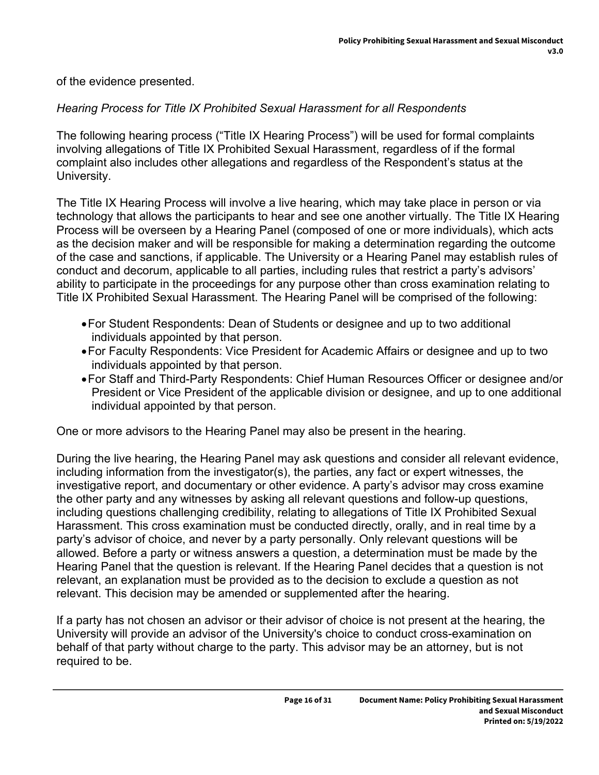of the evidence presented.

### *Hearing Process for Title IX Prohibited Sexual Harassment for all Respondents*

The following hearing process ("Title IX Hearing Process") will be used for formal complaints involving allegations of Title IX Prohibited Sexual Harassment, regardless of if the formal complaint also includes other allegations and regardless of the Respondent's status at the University.

The Title IX Hearing Process will involve a live hearing, which may take place in person or via technology that allows the participants to hear and see one another virtually. The Title IX Hearing Process will be overseen by a Hearing Panel (composed of one or more individuals), which acts as the decision maker and will be responsible for making a determination regarding the outcome of the case and sanctions, if applicable. The University or a Hearing Panel may establish rules of conduct and decorum, applicable to all parties, including rules that restrict a party's advisors' ability to participate in the proceedings for any purpose other than cross examination relating to Title IX Prohibited Sexual Harassment. The Hearing Panel will be comprised of the following:

- For Student Respondents: Dean of Students or designee and up to two additional individuals appointed by that person.
- For Faculty Respondents: Vice President for Academic Affairs or designee and up to two individuals appointed by that person.
- For Staff and Third-Party Respondents: Chief Human Resources Officer or designee and/or President or Vice President of the applicable division or designee, and up to one additional individual appointed by that person.

One or more advisors to the Hearing Panel may also be present in the hearing.

During the live hearing, the Hearing Panel may ask questions and consider all relevant evidence, including information from the investigator(s), the parties, any fact or expert witnesses, the investigative report, and documentary or other evidence. A party's advisor may cross examine the other party and any witnesses by asking all relevant questions and follow-up questions, including questions challenging credibility, relating to allegations of Title IX Prohibited Sexual Harassment. This cross examination must be conducted directly, orally, and in real time by a party's advisor of choice, and never by a party personally. Only relevant questions will be allowed. Before a party or witness answers a question, a determination must be made by the Hearing Panel that the question is relevant. If the Hearing Panel decides that a question is not relevant, an explanation must be provided as to the decision to exclude a question as not relevant. This decision may be amended or supplemented after the hearing.

If a party has not chosen an advisor or their advisor of choice is not present at the hearing, the University will provide an advisor of the University's choice to conduct cross-examination on behalf of that party without charge to the party. This advisor may be an attorney, but is not required to be.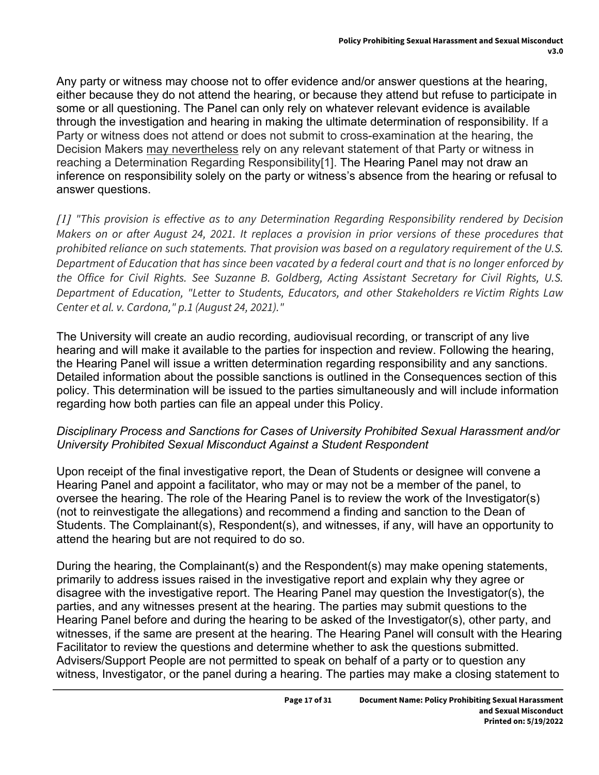Any party or witness may choose not to offer evidence and/or answer questions at the hearing, either because they do not attend the hearing, or because they attend but refuse to participate in some or all questioning. The Panel can only rely on whatever relevant evidence is available through the investigation and hearing in making the ultimate determination of responsibility. If a Party or witness does not attend or does not submit to cross-examination at the hearing, the Decision Makers may nevertheless rely on any relevant statement of that Party or witness in reaching a Determination Regarding Responsibility[1]. The Hearing Panel may not draw an inference on responsibility solely on the party or witness's absence from the hearing or refusal to answer questions.

*[1] "This provision is effective as to any Determination Regarding Responsibility rendered by Decision Makers on or after August 24, 2021. It replaces a provision in prior versions of these procedures that prohibited reliance on such statements. That provision was based on a regulatory requirement of the U.S. Department of Education that has since been vacated by a federal court and that is no longer enforced by the Office for Civil Rights. See Suzanne B. Goldberg, Acting Assistant Secretary for Civil Rights, U.S. Department of Education, "Letter to Students, Educators, and other Stakeholders re Victim Rights Law Center et al. v. Cardona," p.1 (August 24, 2021)."*

The University will create an audio recording, audiovisual recording, or transcript of any live hearing and will make it available to the parties for inspection and review. Following the hearing, the Hearing Panel will issue a written determination regarding responsibility and any sanctions. Detailed information about the possible sanctions is outlined in the Consequences section of this policy. This determination will be issued to the parties simultaneously and will include information regarding how both parties can file an appeal under this Policy.

#### *Disciplinary Process and Sanctions for Cases of University Prohibited Sexual Harassment and/or University Prohibited Sexual Misconduct Against a Student Respondent*

Upon receipt of the final investigative report, the Dean of Students or designee will convene a Hearing Panel and appoint a facilitator, who may or may not be a member of the panel, to oversee the hearing. The role of the Hearing Panel is to review the work of the Investigator(s) (not to reinvestigate the allegations) and recommend a finding and sanction to the Dean of Students. The Complainant(s), Respondent(s), and witnesses, if any, will have an opportunity to attend the hearing but are not required to do so.

During the hearing, the Complainant(s) and the Respondent(s) may make opening statements, primarily to address issues raised in the investigative report and explain why they agree or disagree with the investigative report. The Hearing Panel may question the Investigator(s), the parties, and any witnesses present at the hearing. The parties may submit questions to the Hearing Panel before and during the hearing to be asked of the Investigator(s), other party, and witnesses, if the same are present at the hearing. The Hearing Panel will consult with the Hearing Facilitator to review the questions and determine whether to ask the questions submitted. Advisers/Support People are not permitted to speak on behalf of a party or to question any witness, Investigator, or the panel during a hearing. The parties may make a closing statement to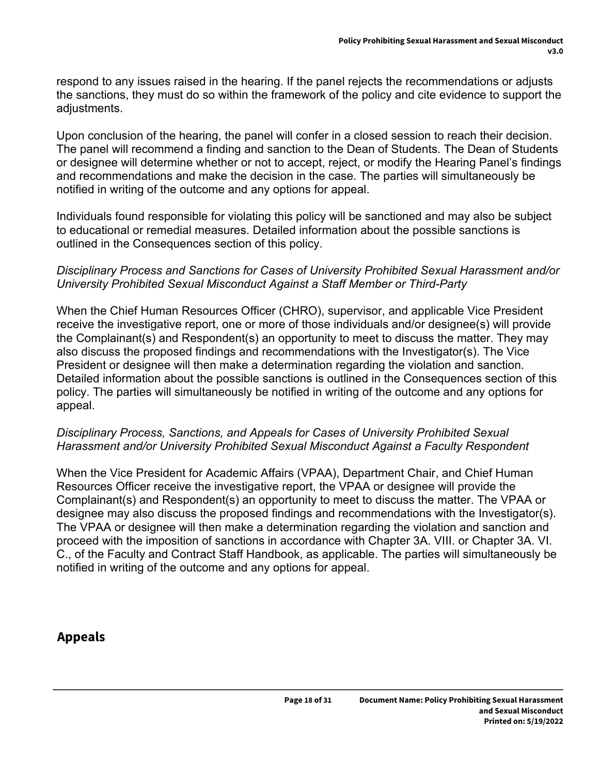respond to any issues raised in the hearing. If the panel rejects the recommendations or adjusts the sanctions, they must do so within the framework of the policy and cite evidence to support the adjustments.

Upon conclusion of the hearing, the panel will confer in a closed session to reach their decision. The panel will recommend a finding and sanction to the Dean of Students. The Dean of Students or designee will determine whether or not to accept, reject, or modify the Hearing Panel's findings and recommendations and make the decision in the case. The parties will simultaneously be notified in writing of the outcome and any options for appeal.

Individuals found responsible for violating this policy will be sanctioned and may also be subject to educational or remedial measures. Detailed information about the possible sanctions is outlined in the Consequences section of this policy.

#### *Disciplinary Process and Sanctions for Cases of University Prohibited Sexual Harassment and/or University Prohibited Sexual Misconduct Against a Staff Member or Third-Party*

When the Chief Human Resources Officer (CHRO), supervisor, and applicable Vice President receive the investigative report, one or more of those individuals and/or designee(s) will provide the Complainant(s) and Respondent(s) an opportunity to meet to discuss the matter. They may also discuss the proposed findings and recommendations with the Investigator(s). The Vice President or designee will then make a determination regarding the violation and sanction. Detailed information about the possible sanctions is outlined in the Consequences section of this policy. The parties will simultaneously be notified in writing of the outcome and any options for appeal.

#### *Disciplinary Process, Sanctions, and Appeals for Cases of University Prohibited Sexual Harassment and/or University Prohibited Sexual Misconduct Against a Faculty Respondent*

When the Vice President for Academic Affairs (VPAA), Department Chair, and Chief Human Resources Officer receive the investigative report, the VPAA or designee will provide the Complainant(s) and Respondent(s) an opportunity to meet to discuss the matter. The VPAA or designee may also discuss the proposed findings and recommendations with the Investigator(s). The VPAA or designee will then make a determination regarding the violation and sanction and proceed with the imposition of sanctions in accordance with Chapter 3A. VIII. or Chapter 3A. VI. C., of the Faculty and Contract Staff Handbook, as applicable. The parties will simultaneously be notified in writing of the outcome and any options for appeal.

### **Appeals**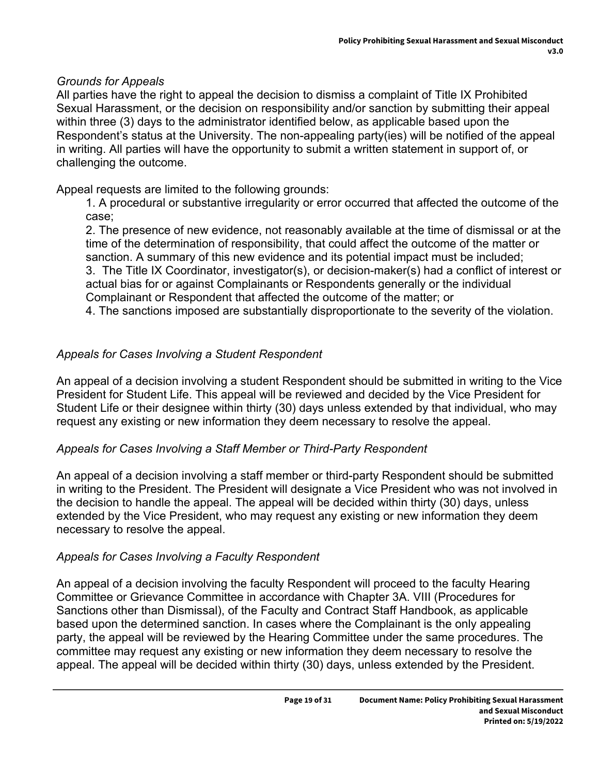### *Grounds for Appeals*

All parties have the right to appeal the decision to dismiss a complaint of Title IX Prohibited Sexual Harassment, or the decision on responsibility and/or sanction by submitting their appeal within three (3) days to the administrator identified below, as applicable based upon the Respondent's status at the University. The non-appealing party(ies) will be notified of the appeal in writing. All parties will have the opportunity to submit a written statement in support of, or challenging the outcome.

Appeal requests are limited to the following grounds:

1. A procedural or substantive irregularity or error occurred that affected the outcome of the case;

2. The presence of new evidence, not reasonably available at the time of dismissal or at the time of the determination of responsibility, that could affect the outcome of the matter or sanction. A summary of this new evidence and its potential impact must be included; 3. The Title IX Coordinator, investigator(s), or decision-maker(s) had a conflict of interest or

actual bias for or against Complainants or Respondents generally or the individual Complainant or Respondent that affected the outcome of the matter; or

4. The sanctions imposed are substantially disproportionate to the severity of the violation.

### *Appeals for Cases Involving a Student Respondent*

An appeal of a decision involving a student Respondent should be submitted in writing to the Vice President for Student Life. This appeal will be reviewed and decided by the Vice President for Student Life or their designee within thirty (30) days unless extended by that individual, who may request any existing or new information they deem necessary to resolve the appeal.

### *Appeals for Cases Involving a Staff Member or Third-Party Respondent*

An appeal of a decision involving a staff member or third-party Respondent should be submitted in writing to the President. The President will designate a Vice President who was not involved in the decision to handle the appeal. The appeal will be decided within thirty (30) days, unless extended by the Vice President, who may request any existing or new information they deem necessary to resolve the appeal.

### *Appeals for Cases Involving a Faculty Respondent*

An appeal of a decision involving the faculty Respondent will proceed to the faculty Hearing Committee or Grievance Committee in accordance with Chapter 3A. VIII (Procedures for Sanctions other than Dismissal), of the Faculty and Contract Staff Handbook, as applicable based upon the determined sanction. In cases where the Complainant is the only appealing party, the appeal will be reviewed by the Hearing Committee under the same procedures. The committee may request any existing or new information they deem necessary to resolve the appeal. The appeal will be decided within thirty (30) days, unless extended by the President.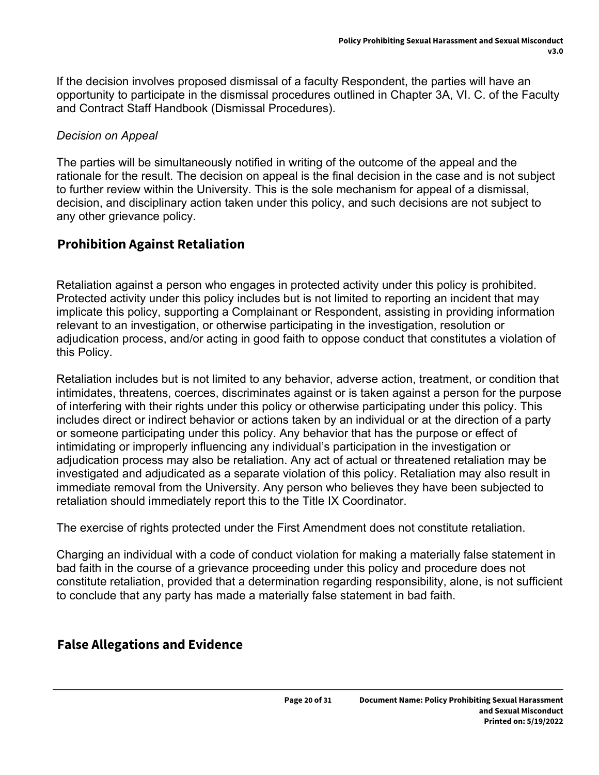If the decision involves proposed dismissal of a faculty Respondent, the parties will have an opportunity to participate in the dismissal procedures outlined in Chapter 3A, VI. C. of the Faculty and Contract Staff Handbook (Dismissal Procedures).

### *Decision on Appeal*

The parties will be simultaneously notified in writing of the outcome of the appeal and the rationale for the result. The decision on appeal is the final decision in the case and is not subject to further review within the University. This is the sole mechanism for appeal of a dismissal, decision, and disciplinary action taken under this policy, and such decisions are not subject to any other grievance policy.

### **Prohibition Against Retaliation**

Retaliation against a person who engages in protected activity under this policy is prohibited. Protected activity under this policy includes but is not limited to reporting an incident that may implicate this policy, supporting a Complainant or Respondent, assisting in providing information relevant to an investigation, or otherwise participating in the investigation, resolution or adjudication process, and/or acting in good faith to oppose conduct that constitutes a violation of this Policy.

Retaliation includes but is not limited to any behavior, adverse action, treatment, or condition that intimidates, threatens, coerces, discriminates against or is taken against a person for the purpose of interfering with their rights under this policy or otherwise participating under this policy. This includes direct or indirect behavior or actions taken by an individual or at the direction of a party or someone participating under this policy. Any behavior that has the purpose or effect of intimidating or improperly influencing any individual's participation in the investigation or adjudication process may also be retaliation. Any act of actual or threatened retaliation may be investigated and adjudicated as a separate violation of this policy. Retaliation may also result in immediate removal from the University. Any person who believes they have been subjected to retaliation should immediately report this to the Title IX Coordinator.

The exercise of rights protected under the First Amendment does not constitute retaliation.

Charging an individual with a code of conduct violation for making a materially false statement in bad faith in the course of a grievance proceeding under this policy and procedure does not constitute retaliation, provided that a determination regarding responsibility, alone, is not sufficient to conclude that any party has made a materially false statement in bad faith.

## **False Allegations and Evidence**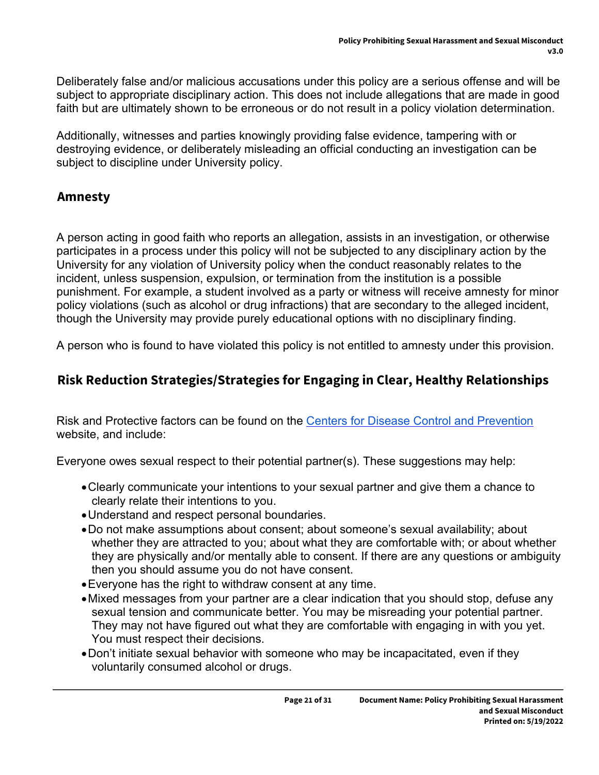Deliberately false and/or malicious accusations under this policy are a serious offense and will be subject to appropriate disciplinary action. This does not include allegations that are made in good faith but are ultimately shown to be erroneous or do not result in a policy violation determination.

Additionally, witnesses and parties knowingly providing false evidence, tampering with or destroying evidence, or deliberately misleading an official conducting an investigation can be subject to discipline under University policy.

### **Amnesty**

A person acting in good faith who reports an allegation, assists in an investigation, or otherwise participates in a process under this policy will not be subjected to any disciplinary action by the University for any violation of University policy when the conduct reasonably relates to the incident, unless suspension, expulsion, or termination from the institution is a possible punishment. For example, a student involved as a party or witness will receive amnesty for minor policy violations (such as alcohol or drug infractions) that are secondary to the alleged incident, though the University may provide purely educational options with no disciplinary finding.

A person who is found to have violated this policy is not entitled to amnesty under this provision.

## **Risk Reduction Strategies/Strategies for Engaging in Clear, Healthy Relationships**

Risk and Protective factors can be found on the [Centers for Disease Control and Prevention](https://www.cdc.gov/violenceprevention/sexualviolence/riskprotectivefactors.html) website, and include:

Everyone owes sexual respect to their potential partner(s). These suggestions may help:

- Clearly communicate your intentions to your sexual partner and give them a chance to clearly relate their intentions to you.
- Understand and respect personal boundaries.
- Do not make assumptions about consent; about someone's sexual availability; about whether they are attracted to you; about what they are comfortable with; or about whether they are physically and/or mentally able to consent. If there are any questions or ambiguity then you should assume you do not have consent.
- Everyone has the right to withdraw consent at any time.
- Mixed messages from your partner are a clear indication that you should stop, defuse any sexual tension and communicate better. You may be misreading your potential partner. They may not have figured out what they are comfortable with engaging in with you yet. You must respect their decisions.
- Don't initiate sexual behavior with someone who may be incapacitated, even if they voluntarily consumed alcohol or drugs.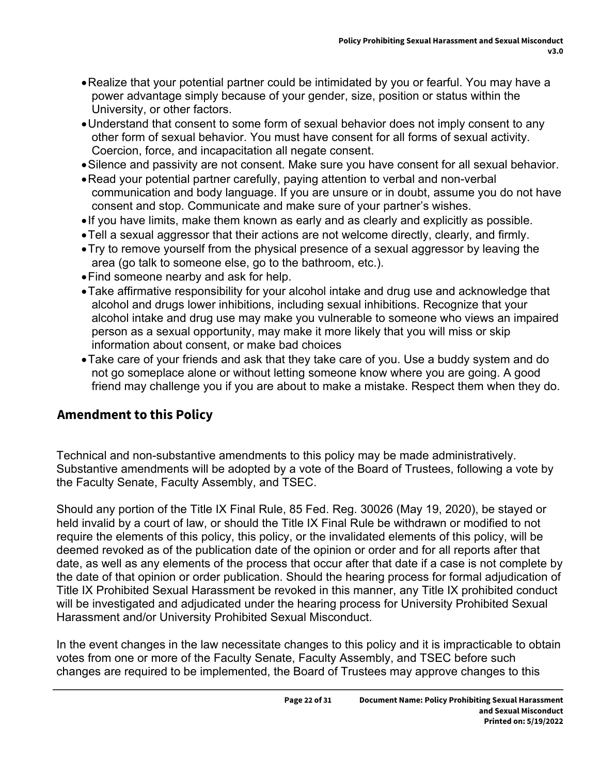- Realize that your potential partner could be intimidated by you or fearful. You may have a power advantage simply because of your gender, size, position or status within the University, or other factors.
- Understand that consent to some form of sexual behavior does not imply consent to any other form of sexual behavior. You must have consent for all forms of sexual activity. Coercion, force, and incapacitation all negate consent.
- Silence and passivity are not consent. Make sure you have consent for all sexual behavior.
- Read your potential partner carefully, paying attention to verbal and non-verbal communication and body language. If you are unsure or in doubt, assume you do not have consent and stop. Communicate and make sure of your partner's wishes.
- . If you have limits, make them known as early and as clearly and explicitly as possible.
- Tell a sexual aggressor that their actions are not welcome directly, clearly, and firmly.
- Try to remove yourself from the physical presence of a sexual aggressor by leaving the area (go talk to someone else, go to the bathroom, etc.).
- Find someone nearby and ask for help.
- Take affirmative responsibility for your alcohol intake and drug use and acknowledge that alcohol and drugs lower inhibitions, including sexual inhibitions. Recognize that your alcohol intake and drug use may make you vulnerable to someone who views an impaired person as a sexual opportunity, may make it more likely that you will miss or skip information about consent, or make bad choices
- Take care of your friends and ask that they take care of you. Use a buddy system and do not go someplace alone or without letting someone know where you are going. A good friend may challenge you if you are about to make a mistake. Respect them when they do.

### **Amendment to this Policy**

Technical and non-substantive amendments to this policy may be made administratively. Substantive amendments will be adopted by a vote of the Board of Trustees, following a vote by the Faculty Senate, Faculty Assembly, and TSEC.

Should any portion of the Title IX Final Rule, 85 Fed. Reg. 30026 (May 19, 2020), be stayed or held invalid by a court of law, or should the Title IX Final Rule be withdrawn or modified to not require the elements of this policy, this policy, or the invalidated elements of this policy, will be deemed revoked as of the publication date of the opinion or order and for all reports after that date, as well as any elements of the process that occur after that date if a case is not complete by the date of that opinion or order publication. Should the hearing process for formal adjudication of Title IX Prohibited Sexual Harassment be revoked in this manner, any Title IX prohibited conduct will be investigated and adjudicated under the hearing process for University Prohibited Sexual Harassment and/or University Prohibited Sexual Misconduct.

In the event changes in the law necessitate changes to this policy and it is impracticable to obtain votes from one or more of the Faculty Senate, Faculty Assembly, and TSEC before such changes are required to be implemented, the Board of Trustees may approve changes to this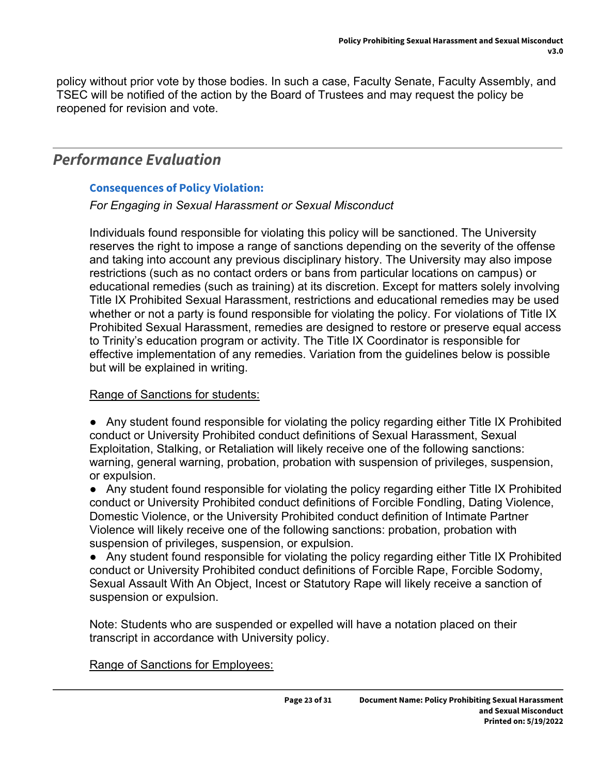policy without prior vote by those bodies. In such a case, Faculty Senate, Faculty Assembly, and TSEC will be notified of the action by the Board of Trustees and may request the policy be reopened for revision and vote.

## *Performance Evaluation*

#### **Consequences of Policy Violation:**

#### *For Engaging in Sexual Harassment or Sexual Misconduct*

Individuals found responsible for violating this policy will be sanctioned. The University reserves the right to impose a range of sanctions depending on the severity of the offense and taking into account any previous disciplinary history. The University may also impose restrictions (such as no contact orders or bans from particular locations on campus) or educational remedies (such as training) at its discretion. Except for matters solely involving Title IX Prohibited Sexual Harassment, restrictions and educational remedies may be used whether or not a party is found responsible for violating the policy. For violations of Title IX Prohibited Sexual Harassment, remedies are designed to restore or preserve equal access to Trinity's education program or activity. The Title IX Coordinator is responsible for effective implementation of any remedies. Variation from the guidelines below is possible but will be explained in writing.

#### Range of Sanctions for students:

● Any student found responsible for violating the policy regarding either Title IX Prohibited conduct or University Prohibited conduct definitions of Sexual Harassment, Sexual Exploitation, Stalking, or Retaliation will likely receive one of the following sanctions: warning, general warning, probation, probation with suspension of privileges, suspension, or expulsion.

● Any student found responsible for violating the policy regarding either Title IX Prohibited conduct or University Prohibited conduct definitions of Forcible Fondling, Dating Violence, Domestic Violence, or the University Prohibited conduct definition of Intimate Partner Violence will likely receive one of the following sanctions: probation, probation with suspension of privileges, suspension, or expulsion.

● Any student found responsible for violating the policy regarding either Title IX Prohibited conduct or University Prohibited conduct definitions of Forcible Rape, Forcible Sodomy, Sexual Assault With An Object, Incest or Statutory Rape will likely receive a sanction of suspension or expulsion.

Note: Students who are suspended or expelled will have a notation placed on their transcript in accordance with University policy.

Range of Sanctions for Employees: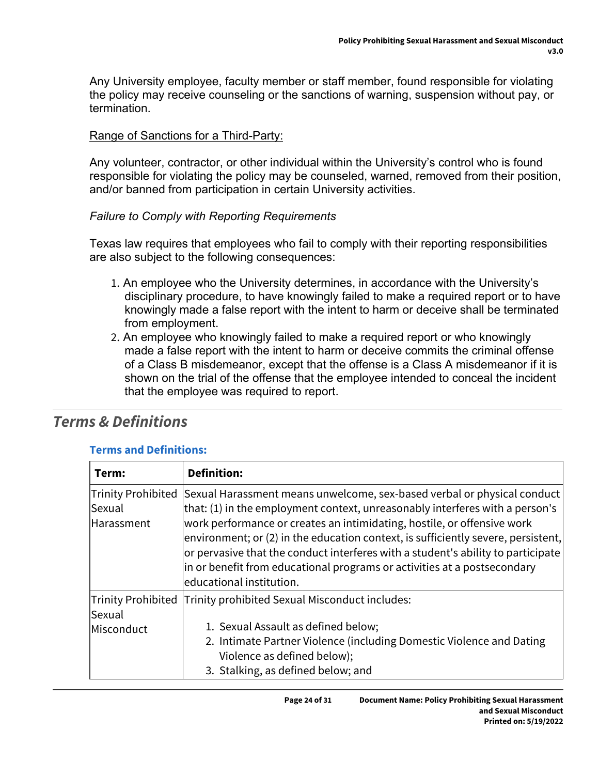Any University employee, faculty member or staff member, found responsible for violating the policy may receive counseling or the sanctions of warning, suspension without pay, or termination.

### Range of Sanctions for a Third-Party:

Any volunteer, contractor, or other individual within the University's control who is found responsible for violating the policy may be counseled, warned, removed from their position, and/or banned from participation in certain University activities.

#### *Failure to Comply with Reporting Requirements*

Texas law requires that employees who fail to comply with their reporting responsibilities are also subject to the following consequences:

- 1. An employee who the University determines, in accordance with the University's disciplinary procedure, to have knowingly failed to make a required report or to have knowingly made a false report with the intent to harm or deceive shall be terminated from employment.
- 2. An employee who knowingly failed to make a required report or who knowingly made a false report with the intent to harm or deceive commits the criminal offense of a Class B misdemeanor, except that the offense is a Class A misdemeanor if it is shown on the trial of the offense that the employee intended to conceal the incident that the employee was required to report.

## *Terms & Definitions*

#### **Terms and Definitions:**

| Term:                                      | <b>Definition:</b>                                                                                                                                                                                                                                                                                                                                                                                                                                                                                                       |
|--------------------------------------------|--------------------------------------------------------------------------------------------------------------------------------------------------------------------------------------------------------------------------------------------------------------------------------------------------------------------------------------------------------------------------------------------------------------------------------------------------------------------------------------------------------------------------|
| Trinity Prohibited<br>Sexual<br>Harassment | Sexual Harassment means unwelcome, sex-based verbal or physical conduct<br>that: (1) in the employment context, unreasonably interferes with a person's<br>work performance or creates an intimidating, hostile, or offensive work<br>$ $ environment; or (2) in the education context, is sufficiently severe, persistent,<br>or pervasive that the conduct interferes with a student's ability to participate<br>in or benefit from educational programs or activities at a postsecondary<br>leducational institution. |
| Trinity Prohibited<br>Sexual<br>Misconduct | Trinity prohibited Sexual Misconduct includes:<br>1. Sexual Assault as defined below;<br>2. Intimate Partner Violence (including Domestic Violence and Dating<br>Violence as defined below);<br>3. Stalking, as defined below; and                                                                                                                                                                                                                                                                                       |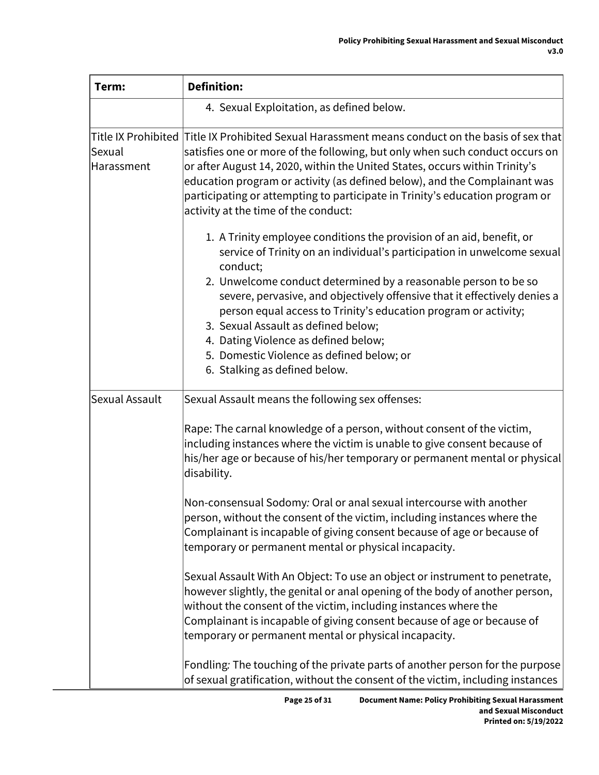| Term:                | <b>Definition:</b>                                                                                                                                                                                                                                                                                                                                                                                                                                                                                                                           |  |  |
|----------------------|----------------------------------------------------------------------------------------------------------------------------------------------------------------------------------------------------------------------------------------------------------------------------------------------------------------------------------------------------------------------------------------------------------------------------------------------------------------------------------------------------------------------------------------------|--|--|
|                      | 4. Sexual Exploitation, as defined below.                                                                                                                                                                                                                                                                                                                                                                                                                                                                                                    |  |  |
| Sexual<br>Harassment | Title IX Prohibited Title IX Prohibited Sexual Harassment means conduct on the basis of sex that<br>satisfies one or more of the following, but only when such conduct occurs on<br>or after August 14, 2020, within the United States, occurs within Trinity's<br>education program or activity (as defined below), and the Complainant was<br>participating or attempting to participate in Trinity's education program or<br>activity at the time of the conduct:                                                                         |  |  |
|                      | 1. A Trinity employee conditions the provision of an aid, benefit, or<br>service of Trinity on an individual's participation in unwelcome sexual<br>conduct;<br>2. Unwelcome conduct determined by a reasonable person to be so<br>severe, pervasive, and objectively offensive that it effectively denies a<br>person equal access to Trinity's education program or activity;<br>3. Sexual Assault as defined below;<br>4. Dating Violence as defined below;<br>5. Domestic Violence as defined below; or<br>6. Stalking as defined below. |  |  |
| Sexual Assault       | Sexual Assault means the following sex offenses:                                                                                                                                                                                                                                                                                                                                                                                                                                                                                             |  |  |
|                      | Rape: The carnal knowledge of a person, without consent of the victim,<br>including instances where the victim is unable to give consent because of<br>his/her age or because of his/her temporary or permanent mental or physical<br>disability.                                                                                                                                                                                                                                                                                            |  |  |
|                      | Non-consensual Sodomy: Oral or anal sexual intercourse with another<br>person, without the consent of the victim, including instances where the<br>Complainant is incapable of giving consent because of age or because of<br>temporary or permanent mental or physical incapacity.                                                                                                                                                                                                                                                          |  |  |
|                      | Sexual Assault With An Object: To use an object or instrument to penetrate,<br>however slightly, the genital or anal opening of the body of another person,<br>without the consent of the victim, including instances where the<br>Complainant is incapable of giving consent because of age or because of<br>temporary or permanent mental or physical incapacity.                                                                                                                                                                          |  |  |
|                      | Fondling: The touching of the private parts of another person for the purpose<br>of sexual gratification, without the consent of the victim, including instances                                                                                                                                                                                                                                                                                                                                                                             |  |  |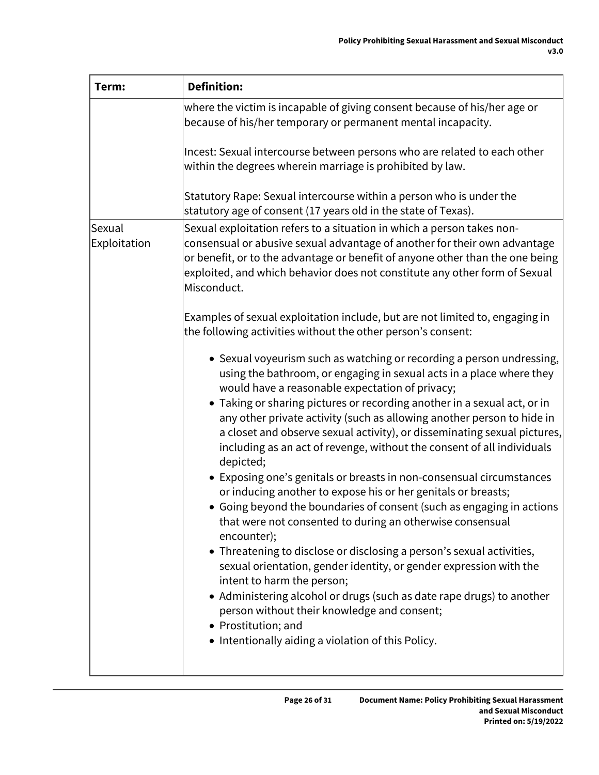| Term:                  | <b>Definition:</b>                                                                                                                                                                                                                                                                                                                                                                                                                                                                                                                                                                                                                                                                                                                                                                                                                                                                                                                                                                                                                                                                                                                                                                                                                                                                                                                                                                    |
|------------------------|---------------------------------------------------------------------------------------------------------------------------------------------------------------------------------------------------------------------------------------------------------------------------------------------------------------------------------------------------------------------------------------------------------------------------------------------------------------------------------------------------------------------------------------------------------------------------------------------------------------------------------------------------------------------------------------------------------------------------------------------------------------------------------------------------------------------------------------------------------------------------------------------------------------------------------------------------------------------------------------------------------------------------------------------------------------------------------------------------------------------------------------------------------------------------------------------------------------------------------------------------------------------------------------------------------------------------------------------------------------------------------------|
|                        | where the victim is incapable of giving consent because of his/her age or<br>because of his/her temporary or permanent mental incapacity.                                                                                                                                                                                                                                                                                                                                                                                                                                                                                                                                                                                                                                                                                                                                                                                                                                                                                                                                                                                                                                                                                                                                                                                                                                             |
|                        | Incest: Sexual intercourse between persons who are related to each other<br>within the degrees wherein marriage is prohibited by law.                                                                                                                                                                                                                                                                                                                                                                                                                                                                                                                                                                                                                                                                                                                                                                                                                                                                                                                                                                                                                                                                                                                                                                                                                                                 |
|                        | Statutory Rape: Sexual intercourse within a person who is under the<br>statutory age of consent (17 years old in the state of Texas).                                                                                                                                                                                                                                                                                                                                                                                                                                                                                                                                                                                                                                                                                                                                                                                                                                                                                                                                                                                                                                                                                                                                                                                                                                                 |
| Sexual<br>Exploitation | Sexual exploitation refers to a situation in which a person takes non-<br>consensual or abusive sexual advantage of another for their own advantage<br>or benefit, or to the advantage or benefit of anyone other than the one being<br>exploited, and which behavior does not constitute any other form of Sexual<br>Misconduct.<br>Examples of sexual exploitation include, but are not limited to, engaging in<br>the following activities without the other person's consent:<br>• Sexual voyeurism such as watching or recording a person undressing,<br>using the bathroom, or engaging in sexual acts in a place where they<br>would have a reasonable expectation of privacy;<br>• Taking or sharing pictures or recording another in a sexual act, or in<br>any other private activity (such as allowing another person to hide in<br>a closet and observe sexual activity), or disseminating sexual pictures,<br>including as an act of revenge, without the consent of all individuals<br>depicted;<br>• Exposing one's genitals or breasts in non-consensual circumstances<br>or inducing another to expose his or her genitals or breasts;<br>• Going beyond the boundaries of consent (such as engaging in actions<br>that were not consented to during an otherwise consensual<br>encounter);<br>• Threatening to disclose or disclosing a person's sexual activities, |
|                        | sexual orientation, gender identity, or gender expression with the<br>intent to harm the person;<br>• Administering alcohol or drugs (such as date rape drugs) to another<br>person without their knowledge and consent;<br>• Prostitution; and<br>• Intentionally aiding a violation of this Policy.                                                                                                                                                                                                                                                                                                                                                                                                                                                                                                                                                                                                                                                                                                                                                                                                                                                                                                                                                                                                                                                                                 |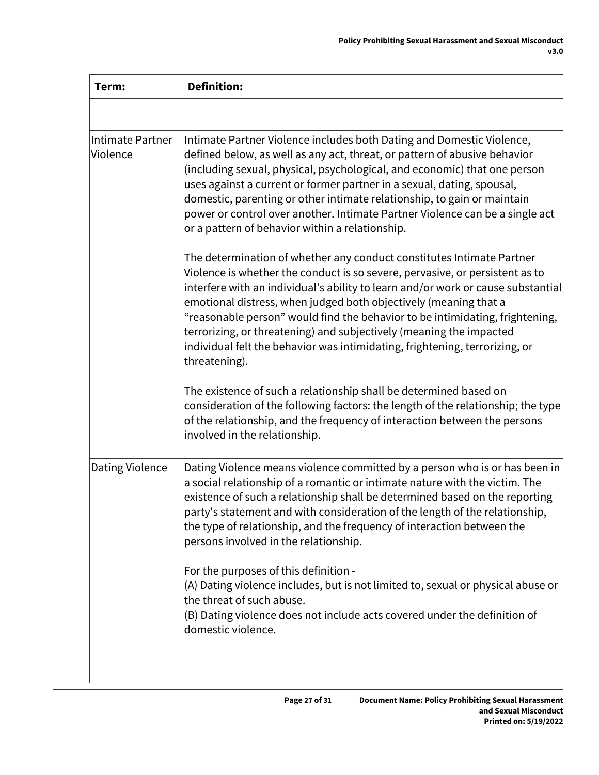| Term:                        | <b>Definition:</b>                                                                                                                                                                                                                                                                                                                                                                                                                                                                                                                                                   |  |
|------------------------------|----------------------------------------------------------------------------------------------------------------------------------------------------------------------------------------------------------------------------------------------------------------------------------------------------------------------------------------------------------------------------------------------------------------------------------------------------------------------------------------------------------------------------------------------------------------------|--|
|                              |                                                                                                                                                                                                                                                                                                                                                                                                                                                                                                                                                                      |  |
| Intimate Partner<br>Violence | Intimate Partner Violence includes both Dating and Domestic Violence,<br>defined below, as well as any act, threat, or pattern of abusive behavior<br>(including sexual, physical, psychological, and economic) that one person<br>uses against a current or former partner in a sexual, dating, spousal,<br>domestic, parenting or other intimate relationship, to gain or maintain<br>power or control over another. Intimate Partner Violence can be a single act<br>or a pattern of behavior within a relationship.                                              |  |
|                              | The determination of whether any conduct constitutes Intimate Partner<br>Violence is whether the conduct is so severe, pervasive, or persistent as to<br>interfere with an individual's ability to learn and/or work or cause substantial<br>emotional distress, when judged both objectively (meaning that a<br>"reasonable person" would find the behavior to be intimidating, frightening,<br>terrorizing, or threatening) and subjectively (meaning the impacted<br>individual felt the behavior was intimidating, frightening, terrorizing, or<br>threatening). |  |
|                              | The existence of such a relationship shall be determined based on<br>consideration of the following factors: the length of the relationship; the type<br>of the relationship, and the frequency of interaction between the persons<br>involved in the relationship.                                                                                                                                                                                                                                                                                                  |  |
| Dating Violence              | Dating Violence means violence committed by a person who is or has been in<br>a social relationship of a romantic or intimate nature with the victim. The<br>existence of such a relationship shall be determined based on the reporting<br>party's statement and with consideration of the length of the relationship,<br>the type of relationship, and the frequency of interaction between the<br>persons involved in the relationship.                                                                                                                           |  |
|                              | For the purposes of this definition -<br>(A) Dating violence includes, but is not limited to, sexual or physical abuse or<br>the threat of such abuse.<br>(B) Dating violence does not include acts covered under the definition of<br>domestic violence.                                                                                                                                                                                                                                                                                                            |  |
|                              |                                                                                                                                                                                                                                                                                                                                                                                                                                                                                                                                                                      |  |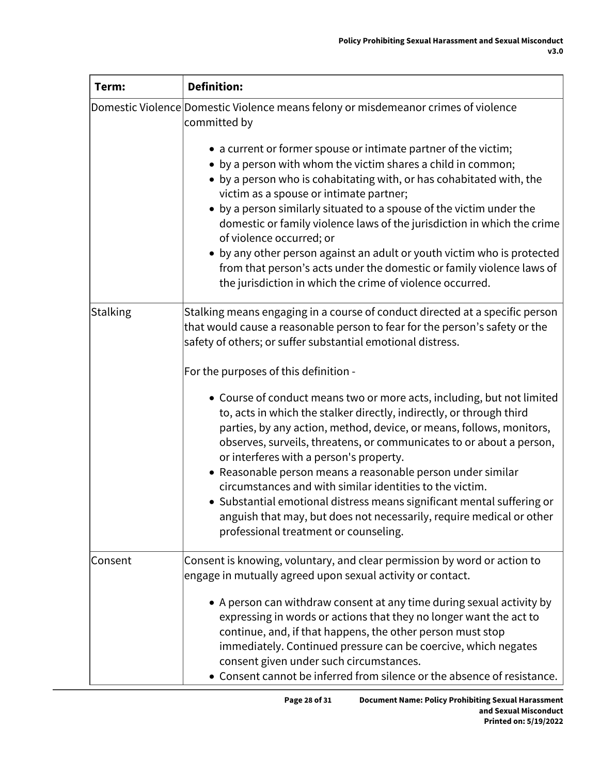| Term:    | <b>Definition:</b>                                                                                                                                                                                                                                                                                                                                                                                                                                                                                                                                                                                                                                 |  |
|----------|----------------------------------------------------------------------------------------------------------------------------------------------------------------------------------------------------------------------------------------------------------------------------------------------------------------------------------------------------------------------------------------------------------------------------------------------------------------------------------------------------------------------------------------------------------------------------------------------------------------------------------------------------|--|
|          | Domestic Violence Domestic Violence means felony or misdemeanor crimes of violence<br>committed by                                                                                                                                                                                                                                                                                                                                                                                                                                                                                                                                                 |  |
|          | • a current or former spouse or intimate partner of the victim;<br>• by a person with whom the victim shares a child in common;<br>• by a person who is cohabitating with, or has cohabitated with, the<br>victim as a spouse or intimate partner;<br>• by a person similarly situated to a spouse of the victim under the<br>domestic or family violence laws of the jurisdiction in which the crime<br>of violence occurred; or<br>• by any other person against an adult or youth victim who is protected<br>from that person's acts under the domestic or family violence laws of<br>the jurisdiction in which the crime of violence occurred. |  |
| Stalking | Stalking means engaging in a course of conduct directed at a specific person<br>that would cause a reasonable person to fear for the person's safety or the<br>safety of others; or suffer substantial emotional distress.                                                                                                                                                                                                                                                                                                                                                                                                                         |  |
|          | For the purposes of this definition -                                                                                                                                                                                                                                                                                                                                                                                                                                                                                                                                                                                                              |  |
|          | • Course of conduct means two or more acts, including, but not limited<br>to, acts in which the stalker directly, indirectly, or through third<br>parties, by any action, method, device, or means, follows, monitors,<br>observes, surveils, threatens, or communicates to or about a person,<br>or interferes with a person's property.<br>• Reasonable person means a reasonable person under similar<br>circumstances and with similar identities to the victim.                                                                                                                                                                               |  |
|          | • Substantial emotional distress means significant mental suffering or<br>anguish that may, but does not necessarily, require medical or other<br>professional treatment or counseling.                                                                                                                                                                                                                                                                                                                                                                                                                                                            |  |
| Consent  | Consent is knowing, voluntary, and clear permission by word or action to<br>engage in mutually agreed upon sexual activity or contact.                                                                                                                                                                                                                                                                                                                                                                                                                                                                                                             |  |
|          | • A person can withdraw consent at any time during sexual activity by<br>expressing in words or actions that they no longer want the act to<br>continue, and, if that happens, the other person must stop<br>immediately. Continued pressure can be coercive, which negates<br>consent given under such circumstances.<br>• Consent cannot be inferred from silence or the absence of resistance.                                                                                                                                                                                                                                                  |  |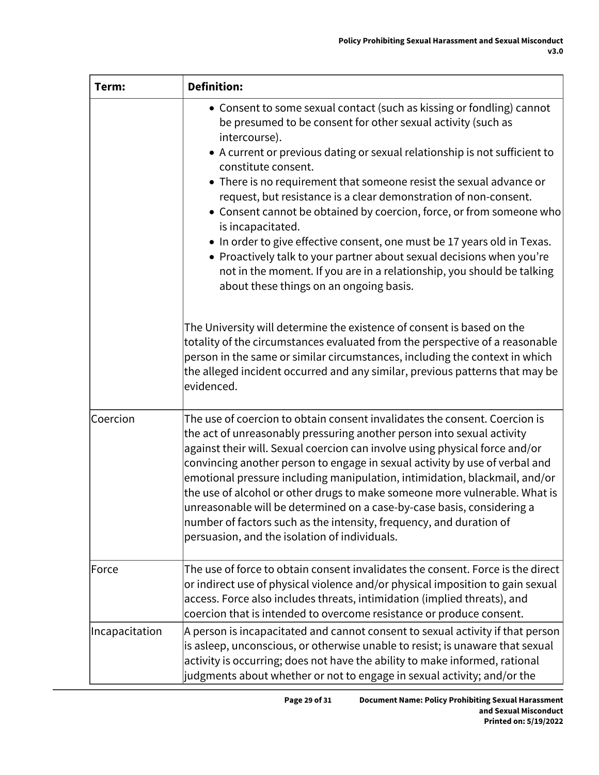| Term:          | <b>Definition:</b>                                                                                                                                                                                                                                                                                                                                                                                                                                                                                                                                                                                                                                                                                                                                                                                                                                                                                                                                                                                                                                                                                                   |  |
|----------------|----------------------------------------------------------------------------------------------------------------------------------------------------------------------------------------------------------------------------------------------------------------------------------------------------------------------------------------------------------------------------------------------------------------------------------------------------------------------------------------------------------------------------------------------------------------------------------------------------------------------------------------------------------------------------------------------------------------------------------------------------------------------------------------------------------------------------------------------------------------------------------------------------------------------------------------------------------------------------------------------------------------------------------------------------------------------------------------------------------------------|--|
|                | • Consent to some sexual contact (such as kissing or fondling) cannot<br>be presumed to be consent for other sexual activity (such as<br>intercourse).<br>• A current or previous dating or sexual relationship is not sufficient to<br>constitute consent.<br>• There is no requirement that someone resist the sexual advance or<br>request, but resistance is a clear demonstration of non-consent.<br>• Consent cannot be obtained by coercion, force, or from someone who<br>is incapacitated.<br>• In order to give effective consent, one must be 17 years old in Texas.<br>• Proactively talk to your partner about sexual decisions when you're<br>not in the moment. If you are in a relationship, you should be talking<br>about these things on an ongoing basis.<br>The University will determine the existence of consent is based on the<br>totality of the circumstances evaluated from the perspective of a reasonable<br>person in the same or similar circumstances, including the context in which<br>the alleged incident occurred and any similar, previous patterns that may be<br>evidenced. |  |
| Coercion       | The use of coercion to obtain consent invalidates the consent. Coercion is<br>the act of unreasonably pressuring another person into sexual activity<br>against their will. Sexual coercion can involve using physical force and/or<br>convincing another person to engage in sexual activity by use of verbal and<br>emotional pressure including manipulation, intimidation, blackmail, and/or<br>the use of alcohol or other drugs to make someone more vulnerable. What is<br>unreasonable will be determined on a case-by-case basis, considering a<br>number of factors such as the intensity, frequency, and duration of<br>persuasion, and the isolation of individuals.                                                                                                                                                                                                                                                                                                                                                                                                                                     |  |
| Force          | The use of force to obtain consent invalidates the consent. Force is the direct<br>or indirect use of physical violence and/or physical imposition to gain sexual<br>access. Force also includes threats, intimidation (implied threats), and<br>coercion that is intended to overcome resistance or produce consent.                                                                                                                                                                                                                                                                                                                                                                                                                                                                                                                                                                                                                                                                                                                                                                                                |  |
| Incapacitation | A person is incapacitated and cannot consent to sexual activity if that person<br>is asleep, unconscious, or otherwise unable to resist; is unaware that sexual<br>activity is occurring; does not have the ability to make informed, rational<br>judgments about whether or not to engage in sexual activity; and/or the                                                                                                                                                                                                                                                                                                                                                                                                                                                                                                                                                                                                                                                                                                                                                                                            |  |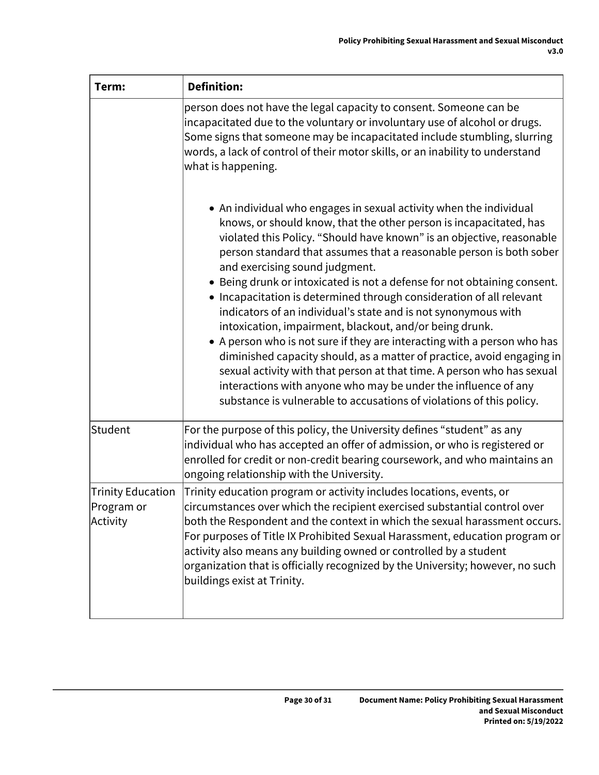| Term:                                              | <b>Definition:</b>                                                                                                                                                                                                                                                                                                                                                                                                                                                                                                                                                                                                                                                                                                                                                                                                                                                                                                                                                                    |
|----------------------------------------------------|---------------------------------------------------------------------------------------------------------------------------------------------------------------------------------------------------------------------------------------------------------------------------------------------------------------------------------------------------------------------------------------------------------------------------------------------------------------------------------------------------------------------------------------------------------------------------------------------------------------------------------------------------------------------------------------------------------------------------------------------------------------------------------------------------------------------------------------------------------------------------------------------------------------------------------------------------------------------------------------|
|                                                    | person does not have the legal capacity to consent. Someone can be<br>incapacitated due to the voluntary or involuntary use of alcohol or drugs.<br>Some signs that someone may be incapacitated include stumbling, slurring<br>words, a lack of control of their motor skills, or an inability to understand<br>what is happening.                                                                                                                                                                                                                                                                                                                                                                                                                                                                                                                                                                                                                                                   |
|                                                    | • An individual who engages in sexual activity when the individual<br>knows, or should know, that the other person is incapacitated, has<br>violated this Policy. "Should have known" is an objective, reasonable<br>person standard that assumes that a reasonable person is both sober<br>and exercising sound judgment.<br>• Being drunk or intoxicated is not a defense for not obtaining consent.<br>• Incapacitation is determined through consideration of all relevant<br>indicators of an individual's state and is not synonymous with<br>intoxication, impairment, blackout, and/or being drunk.<br>• A person who is not sure if they are interacting with a person who has<br>diminished capacity should, as a matter of practice, avoid engaging in<br>sexual activity with that person at that time. A person who has sexual<br>interactions with anyone who may be under the influence of any<br>substance is vulnerable to accusations of violations of this policy. |
| Student                                            | For the purpose of this policy, the University defines "student" as any<br>individual who has accepted an offer of admission, or who is registered or<br>enrolled for credit or non-credit bearing coursework, and who maintains an<br>ongoing relationship with the University.                                                                                                                                                                                                                                                                                                                                                                                                                                                                                                                                                                                                                                                                                                      |
| <b>Trinity Education</b><br>Program or<br>Activity | Trinity education program or activity includes locations, events, or<br>circumstances over which the recipient exercised substantial control over<br>both the Respondent and the context in which the sexual harassment occurs.<br>For purposes of Title IX Prohibited Sexual Harassment, education program or<br>activity also means any building owned or controlled by a student<br>organization that is officially recognized by the University; however, no such<br>buildings exist at Trinity.                                                                                                                                                                                                                                                                                                                                                                                                                                                                                  |